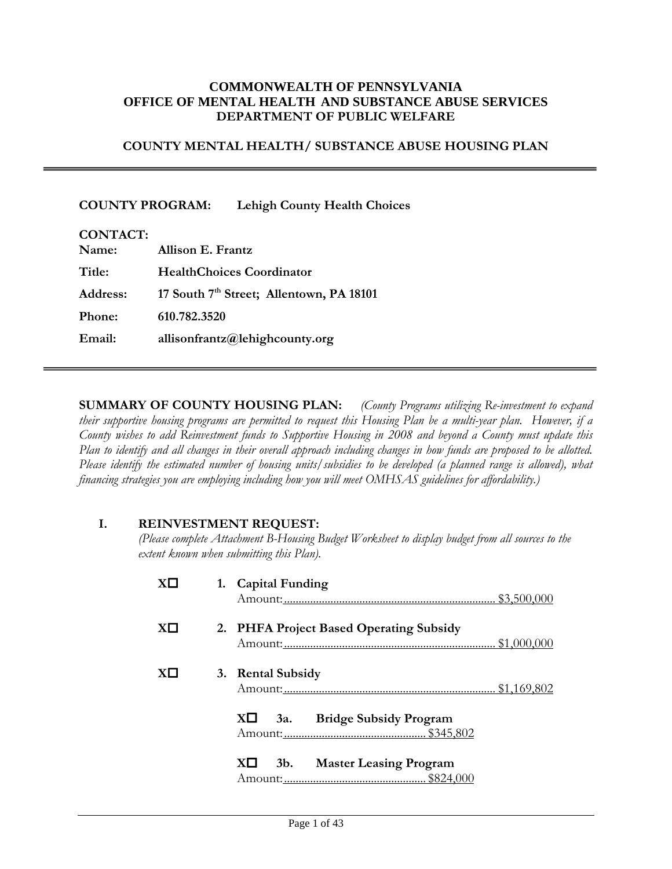#### **COMMONWEALTH OF PENNSYLVANIA OFFICE OF MENTAL HEALTH AND SUBSTANCE ABUSE SERVICES DEPARTMENT OF PUBLIC WELFARE**

#### **COUNTY MENTAL HEALTH/ SUBSTANCE ABUSE HOUSING PLAN**

**COUNTY PROGRAM: Lehigh County Health Choices** 

| <b>CONTACT:</b> |                                                      |
|-----------------|------------------------------------------------------|
| Name:           | Allison E. Frantz                                    |
| Title:          | <b>HealthChoices Coordinator</b>                     |
| Address:        | 17 South 7 <sup>th</sup> Street; Allentown, PA 18101 |
| Phone:          | 610.782.3520                                         |
| Email:          | allisonfrantz@lehighcounty.org                       |

**SUMMARY OF COUNTY HOUSING PLAN:** *(County Programs utilizing Re-investment to expand their supportive housing programs are permitted to request this Housing Plan be a multi-year plan. However, if a County wishes to add Reinvestment funds to Supportive Housing in 2008 and beyond a County must update this Plan to identify and all changes in their overall approach including changes in how funds are proposed to be allotted.*  Please identify the estimated number of housing units/subsidies to be developed (a planned range is allowed), what *financing strategies you are employing including how you will meet OMHSAS guidelines for affordability.)* 

#### **I. REINVESTMENT REQUEST:**

*(Please complete Attachment B-Housing Budget Worksheet to display budget from all sources to the extent known when submitting this Plan).*

| XП | 1. Capital Funding                         |  |
|----|--------------------------------------------|--|
|    |                                            |  |
| XП | 2. PHFA Project Based Operating Subsidy    |  |
|    |                                            |  |
| XП | 3. Rental Subsidy                          |  |
|    |                                            |  |
|    | XП.<br>3a. Bridge Subsidy Program          |  |
|    |                                            |  |
|    | <b>Master Leasing Program</b><br>3b.<br>XЦ |  |
|    |                                            |  |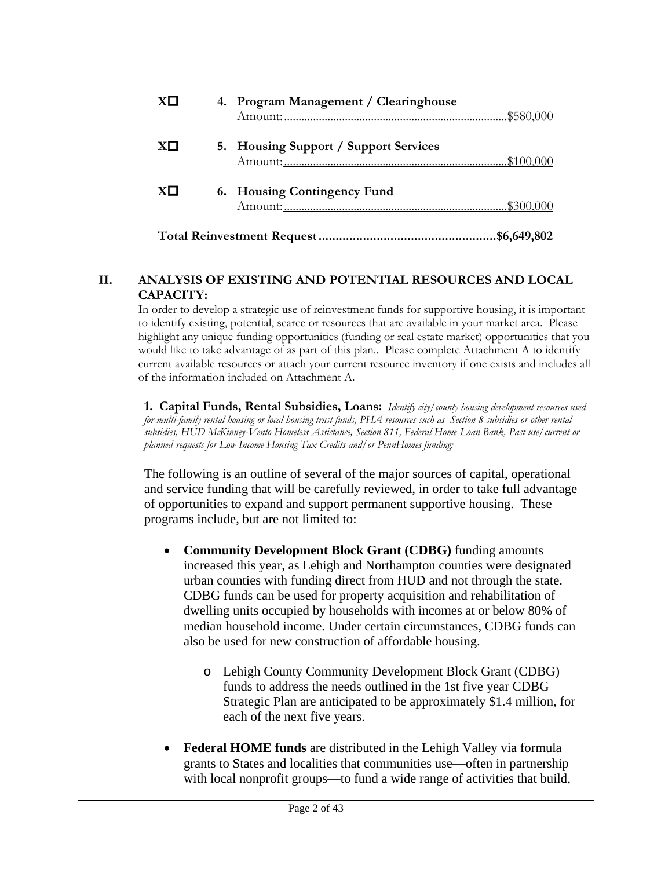|    | 4. Program Management / Clearinghouse |  |
|----|---------------------------------------|--|
| XП | 5. Housing Support / Support Services |  |
| XП | 6. Housing Contingency Fund           |  |
|    |                                       |  |

#### **II. ANALYSIS OF EXISTING AND POTENTIAL RESOURCES AND LOCAL CAPACITY:**

In order to develop a strategic use of reinvestment funds for supportive housing, it is important to identify existing, potential, scarce or resources that are available in your market area. Please highlight any unique funding opportunities (funding or real estate market) opportunities that you would like to take advantage of as part of this plan.. Please complete Attachment A to identify current available resources or attach your current resource inventory if one exists and includes all of the information included on Attachment A.

**1. Capital Funds, Rental Subsidies, Loans:** *Identify city/county housing development resources used for multi-family rental housing or local housing trust funds, PHA resources such as Section 8 subsidies or other rental subsidies, HUD McKinney-Vento Homeless Assistance, Section 811, Federal Home Loan Bank, Past use/current or planned requests for Low Income Housing Tax Credits and/or PennHomes funding:*

The following is an outline of several of the major sources of capital, operational and service funding that will be carefully reviewed, in order to take full advantage of opportunities to expand and support permanent supportive housing. These programs include, but are not limited to:

- **Community Development Block Grant (CDBG)** funding amounts increased this year, as Lehigh and Northampton counties were designated urban counties with funding direct from HUD and not through the state. CDBG funds can be used for property acquisition and rehabilitation of dwelling units occupied by households with incomes at or below 80% of median household income. Under certain circumstances, CDBG funds can also be used for new construction of affordable housing.
	- o Lehigh County Community Development Block Grant (CDBG) funds to address the needs outlined in the 1st five year CDBG Strategic Plan are anticipated to be approximately \$1.4 million, for each of the next five years.
- **Federal HOME funds** are distributed in the Lehigh Valley via formula grants to States and localities that communities use—often in partnership with local nonprofit groups—to fund a wide range of activities that build,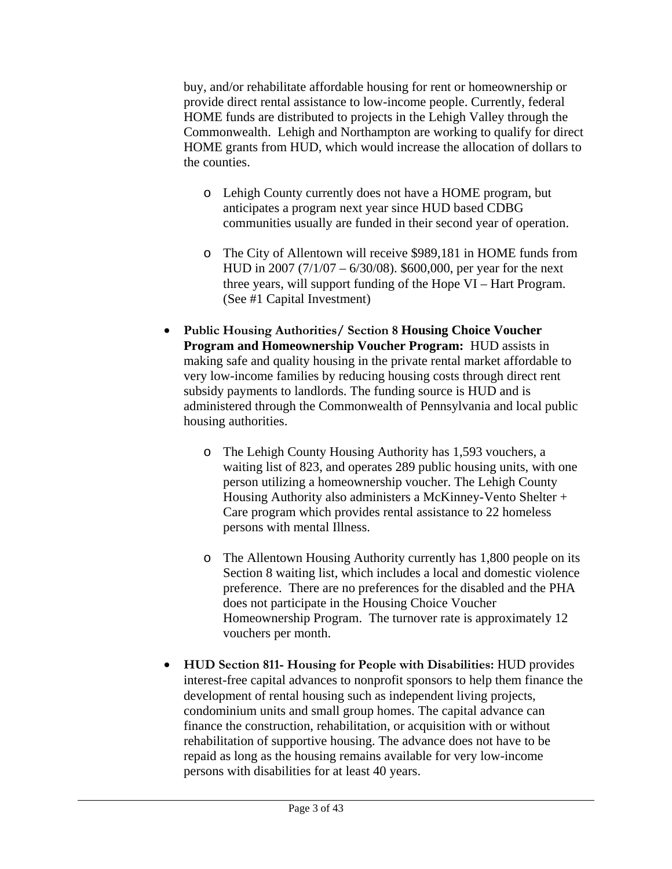buy, and/or rehabilitate affordable housing for rent or homeownership or provide direct rental assistance to low-income people. Currently, federal HOME funds are distributed to projects in the Lehigh Valley through the Commonwealth. Lehigh and Northampton are working to qualify for direct HOME grants from HUD, which would increase the allocation of dollars to the counties.

- o Lehigh County currently does not have a HOME program, but anticipates a program next year since HUD based CDBG communities usually are funded in their second year of operation.
- o The City of Allentown will receive \$989,181 in HOME funds from HUD in 2007 (7/1/07 – 6/30/08). \$600,000, per year for the next three years, will support funding of the Hope VI – Hart Program. (See #1 Capital Investment)
- **Public Housing Authorities/ Section 8 Housing Choice Voucher Program and Homeownership Voucher Program:** HUD assists in making safe and quality housing in the private rental market affordable to very low-income families by reducing housing costs through direct rent subsidy payments to landlords. The funding source is HUD and is administered through the Commonwealth of Pennsylvania and local public housing authorities.
	- o The Lehigh County Housing Authority has 1,593 vouchers, a waiting list of 823, and operates 289 public housing units, with one person utilizing a homeownership voucher. The Lehigh County Housing Authority also administers a McKinney-Vento Shelter + Care program which provides rental assistance to 22 homeless persons with mental Illness.
	- o The Allentown Housing Authority currently has 1,800 people on its Section 8 waiting list, which includes a local and domestic violence preference. There are no preferences for the disabled and the PHA does not participate in the Housing Choice Voucher Homeownership Program. The turnover rate is approximately 12 vouchers per month.
- **HUD Section 811- Housing for People with Disabilities:** HUD provides interest-free capital advances to nonprofit sponsors to help them finance the development of rental housing such as independent living projects, condominium units and small group homes. The capital advance can finance the construction, rehabilitation, or acquisition with or without rehabilitation of supportive housing. The advance does not have to be repaid as long as the housing remains available for very low-income persons with disabilities for at least 40 years.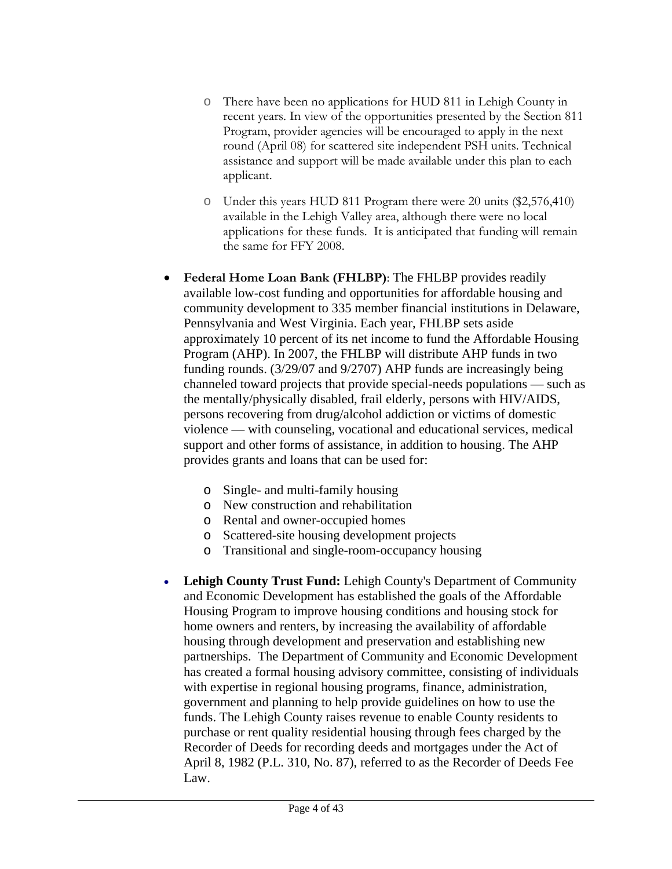- o There have been no applications for HUD 811 in Lehigh County in recent years. In view of the opportunities presented by the Section 811 Program, provider agencies will be encouraged to apply in the next round (April 08) for scattered site independent PSH units. Technical assistance and support will be made available under this plan to each applicant.
- o Under this years HUD 811 Program there were 20 units (\$2,576,410) available in the Lehigh Valley area, although there were no local applications for these funds. It is anticipated that funding will remain the same for FFY 2008.
- **Federal Home Loan Bank (FHLBP)**: The FHLBP provides readily available low-cost funding and opportunities for affordable housing and community development to 335 member financial institutions in Delaware, Pennsylvania and West Virginia. Each year, FHLBP sets aside approximately 10 percent of its net income to fund the Affordable Housing Program (AHP). In 2007, the FHLBP will distribute AHP funds in two funding rounds. (3/29/07 and 9/2707) AHP funds are increasingly being channeled toward projects that provide special-needs populations — such as the mentally/physically disabled, frail elderly, persons with HIV/AIDS, persons recovering from drug/alcohol addiction or victims of domestic violence — with counseling, vocational and educational services, medical support and other forms of assistance, in addition to housing. The AHP provides grants and loans that can be used for:
	- o Single- and multi-family housing
	- o New construction and rehabilitation
	- o Rental and owner-occupied homes
	- o Scattered-site housing development projects
	- o Transitional and single-room-occupancy housing
- **Lehigh County Trust Fund:** Lehigh County's Department of Community and Economic Development has established the goals of the Affordable Housing Program to improve housing conditions and housing stock for home owners and renters, by increasing the availability of affordable housing through development and preservation and establishing new partnerships. The Department of Community and Economic Development has created a formal housing advisory committee, consisting of individuals with expertise in regional housing programs, finance, administration, government and planning to help provide guidelines on how to use the funds. The Lehigh County raises revenue to enable County residents to purchase or rent quality residential housing through fees charged by the Recorder of Deeds for recording deeds and mortgages under the Act of April 8, 1982 (P.L. 310, No. 87), referred to as the Recorder of Deeds Fee Law.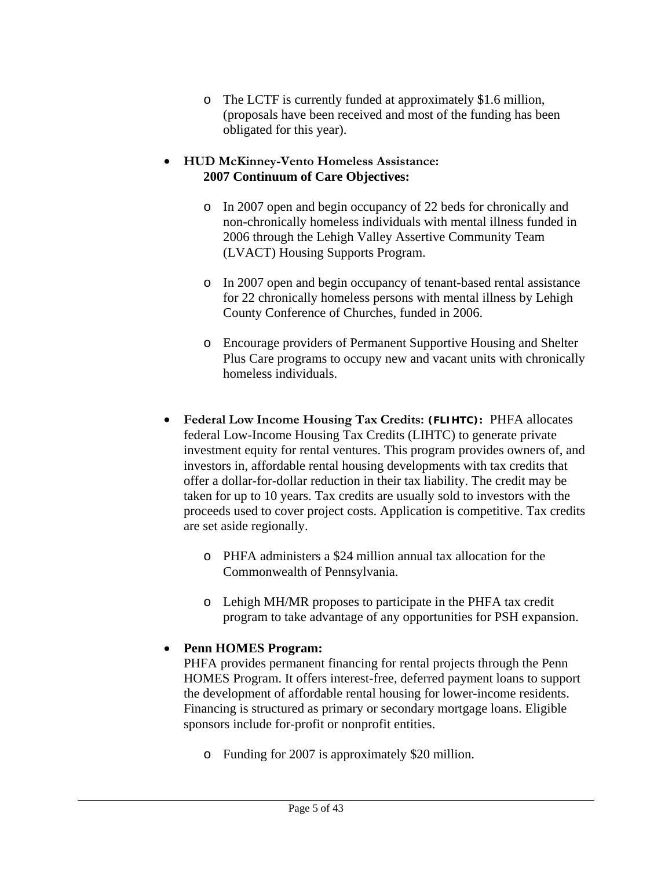o The LCTF is currently funded at approximately \$1.6 million, (proposals have been received and most of the funding has been obligated for this year).

#### **HUD McKinney-Vento Homeless Assistance: 2007 Continuum of Care Objectives:**

- o In 2007 open and begin occupancy of 22 beds for chronically and non-chronically homeless individuals with mental illness funded in 2006 through the Lehigh Valley Assertive Community Team (LVACT) Housing Supports Program.
- o In 2007 open and begin occupancy of tenant-based rental assistance for 22 chronically homeless persons with mental illness by Lehigh County Conference of Churches, funded in 2006.
- o Encourage providers of Permanent Supportive Housing and Shelter Plus Care programs to occupy new and vacant units with chronically homeless individuals.
- **Federal Low Income Housing Tax Credits: (FLIHTC):** PHFA allocates federal Low-Income Housing Tax Credits (LIHTC) to generate private investment equity for rental ventures. This program provides owners of, and investors in, affordable rental housing developments with tax credits that offer a dollar-for-dollar reduction in their tax liability. The credit may be taken for up to 10 years. Tax credits are usually sold to investors with the proceeds used to cover project costs. Application is competitive. Tax credits are set aside regionally.
	- o PHFA administers a \$24 million annual tax allocation for the Commonwealth of Pennsylvania.
	- o Lehigh MH/MR proposes to participate in the PHFA tax credit program to take advantage of any opportunities for PSH expansion.

# **Penn HOMES Program:**

PHFA provides permanent financing for rental projects through the Penn HOMES Program. It offers interest-free, deferred payment loans to support the development of affordable rental housing for lower-income residents. Financing is structured as primary or secondary mortgage loans. Eligible sponsors include for-profit or nonprofit entities.

o Funding for 2007 is approximately \$20 million.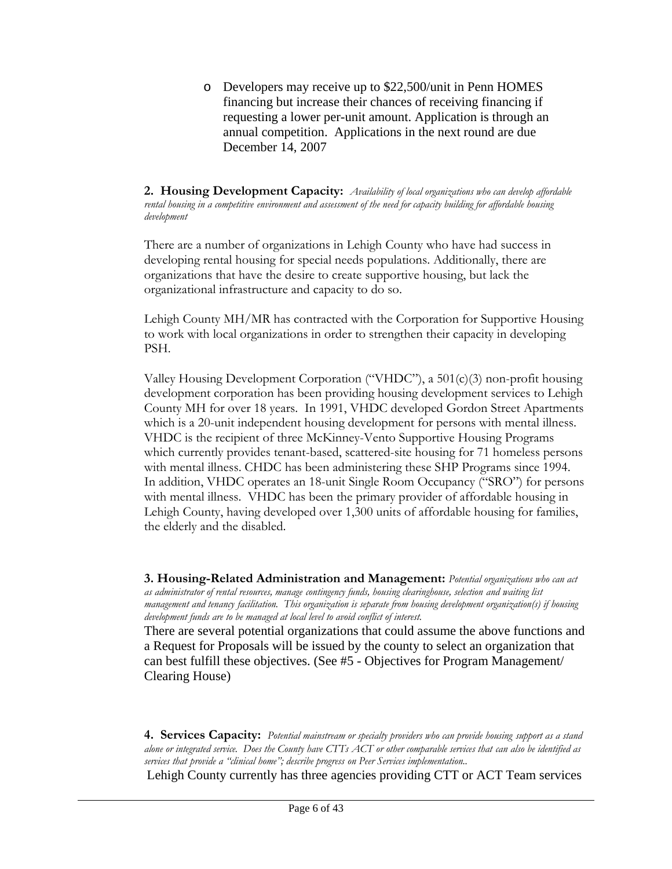o Developers may receive up to \$22,500/unit in Penn HOMES financing but increase their chances of receiving financing if requesting a lower per-unit amount. Application is through an annual competition. Applications in the next round are due December 14, 2007

**2. Housing Development Capacity:** *Availability of local organizations who can develop affordable rental housing in a competitive environment and assessment of the need for capacity building for affordable housing development* 

There are a number of organizations in Lehigh County who have had success in developing rental housing for special needs populations. Additionally, there are organizations that have the desire to create supportive housing, but lack the organizational infrastructure and capacity to do so.

Lehigh County MH/MR has contracted with the Corporation for Supportive Housing to work with local organizations in order to strengthen their capacity in developing PSH.

Valley Housing Development Corporation ("VHDC"), a 501(c)(3) non-profit housing development corporation has been providing housing development services to Lehigh County MH for over 18 years. In 1991, VHDC developed Gordon Street Apartments which is a 20-unit independent housing development for persons with mental illness. VHDC is the recipient of three McKinney-Vento Supportive Housing Programs which currently provides tenant-based, scattered-site housing for 71 homeless persons with mental illness. CHDC has been administering these SHP Programs since 1994. In addition, VHDC operates an 18-unit Single Room Occupancy ("SRO") for persons with mental illness. VHDC has been the primary provider of affordable housing in Lehigh County, having developed over 1,300 units of affordable housing for families, the elderly and the disabled.

**3. Housing-Related Administration and Management:** *Potential organizations who can act as administrator of rental resources, manage contingency funds, housing clearinghouse, selection and waiting list management and tenancy facilitation. This organization is separate from housing development organization(s) if housing development funds are to be managed at local level to avoid conflict of interest.* 

There are several potential organizations that could assume the above functions and a Request for Proposals will be issued by the county to select an organization that can best fulfill these objectives. (See #5 - Objectives for Program Management/ Clearing House)

**4. Services Capacity:** *Potential mainstream or specialty providers who can provide housing support as a stand alone or integrated service. Does the County have CTTs ACT or other comparable services that can also be identified as services that provide a "clinical home"; describe progress on Peer Services implementation..* 

Lehigh County currently has three agencies providing CTT or ACT Team services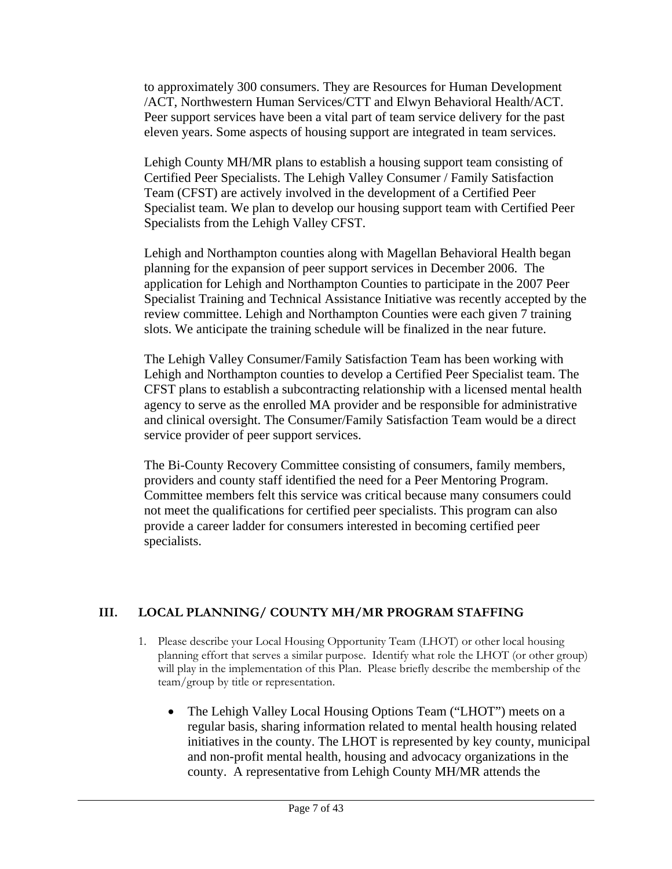to approximately 300 consumers. They are Resources for Human Development /ACT, Northwestern Human Services/CTT and Elwyn Behavioral Health/ACT. Peer support services have been a vital part of team service delivery for the past eleven years. Some aspects of housing support are integrated in team services.

Lehigh County MH/MR plans to establish a housing support team consisting of Certified Peer Specialists. The Lehigh Valley Consumer / Family Satisfaction Team (CFST) are actively involved in the development of a Certified Peer Specialist team. We plan to develop our housing support team with Certified Peer Specialists from the Lehigh Valley CFST.

Lehigh and Northampton counties along with Magellan Behavioral Health began planning for the expansion of peer support services in December 2006. The application for Lehigh and Northampton Counties to participate in the 2007 Peer Specialist Training and Technical Assistance Initiative was recently accepted by the review committee. Lehigh and Northampton Counties were each given 7 training slots. We anticipate the training schedule will be finalized in the near future.

The Lehigh Valley Consumer/Family Satisfaction Team has been working with Lehigh and Northampton counties to develop a Certified Peer Specialist team. The CFST plans to establish a subcontracting relationship with a licensed mental health agency to serve as the enrolled MA provider and be responsible for administrative and clinical oversight. The Consumer/Family Satisfaction Team would be a direct service provider of peer support services.

The Bi-County Recovery Committee consisting of consumers, family members, providers and county staff identified the need for a Peer Mentoring Program. Committee members felt this service was critical because many consumers could not meet the qualifications for certified peer specialists. This program can also provide a career ladder for consumers interested in becoming certified peer specialists.

# **III. LOCAL PLANNING/ COUNTY MH/MR PROGRAM STAFFING**

- 1. Please describe your Local Housing Opportunity Team (LHOT) or other local housing planning effort that serves a similar purpose. Identify what role the LHOT (or other group) will play in the implementation of this Plan. Please briefly describe the membership of the team/group by title or representation.
	- The Lehigh Valley Local Housing Options Team ("LHOT") meets on a regular basis, sharing information related to mental health housing related initiatives in the county. The LHOT is represented by key county, municipal and non-profit mental health, housing and advocacy organizations in the county. A representative from Lehigh County MH/MR attends the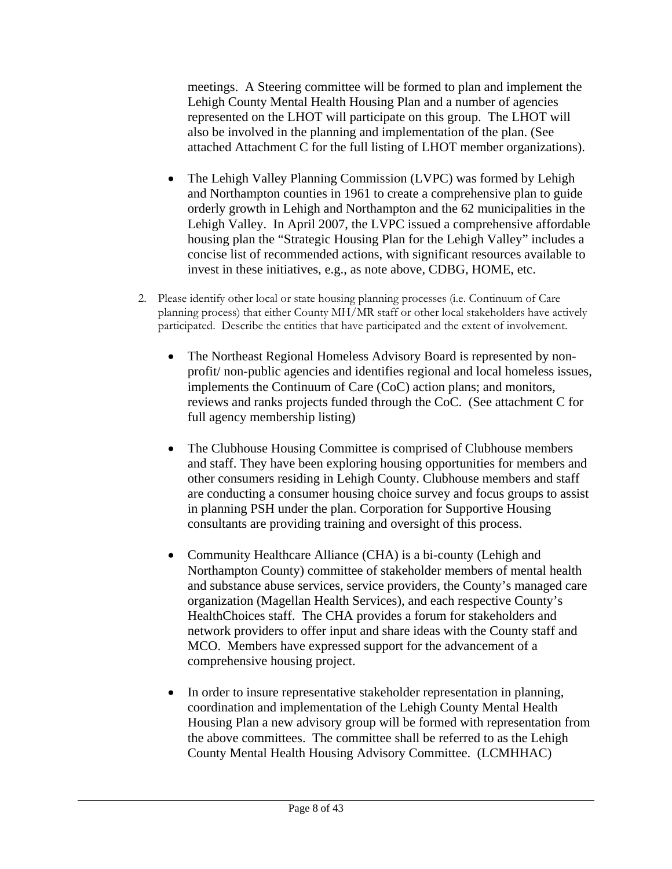meetings. A Steering committee will be formed to plan and implement the Lehigh County Mental Health Housing Plan and a number of agencies represented on the LHOT will participate on this group. The LHOT will also be involved in the planning and implementation of the plan. (See attached Attachment C for the full listing of LHOT member organizations).

- The Lehigh Valley Planning Commission (LVPC) was formed by Lehigh and Northampton counties in 1961 to create a comprehensive plan to guide orderly growth in Lehigh and Northampton and the 62 municipalities in the Lehigh Valley. In April 2007, the LVPC issued a comprehensive affordable housing plan the "Strategic Housing Plan for the Lehigh Valley" includes a concise list of recommended actions, with significant resources available to invest in these initiatives, e.g., as note above, CDBG, HOME, etc.
- 2. Please identify other local or state housing planning processes (i.e. Continuum of Care planning process) that either County MH/MR staff or other local stakeholders have actively participated. Describe the entities that have participated and the extent of involvement.
	- The Northeast Regional Homeless Advisory Board is represented by nonprofit/ non-public agencies and identifies regional and local homeless issues, implements the Continuum of Care (CoC) action plans; and monitors, reviews and ranks projects funded through the CoC. (See attachment C for full agency membership listing)
	- The Clubhouse Housing Committee is comprised of Clubhouse members and staff. They have been exploring housing opportunities for members and other consumers residing in Lehigh County. Clubhouse members and staff are conducting a consumer housing choice survey and focus groups to assist in planning PSH under the plan. Corporation for Supportive Housing consultants are providing training and oversight of this process.
	- Community Healthcare Alliance (CHA) is a bi-county (Lehigh and Northampton County) committee of stakeholder members of mental health and substance abuse services, service providers, the County's managed care organization (Magellan Health Services), and each respective County's HealthChoices staff. The CHA provides a forum for stakeholders and network providers to offer input and share ideas with the County staff and MCO. Members have expressed support for the advancement of a comprehensive housing project.
	- In order to insure representative stakeholder representation in planning, coordination and implementation of the Lehigh County Mental Health Housing Plan a new advisory group will be formed with representation from the above committees. The committee shall be referred to as the Lehigh County Mental Health Housing Advisory Committee. (LCMHHAC)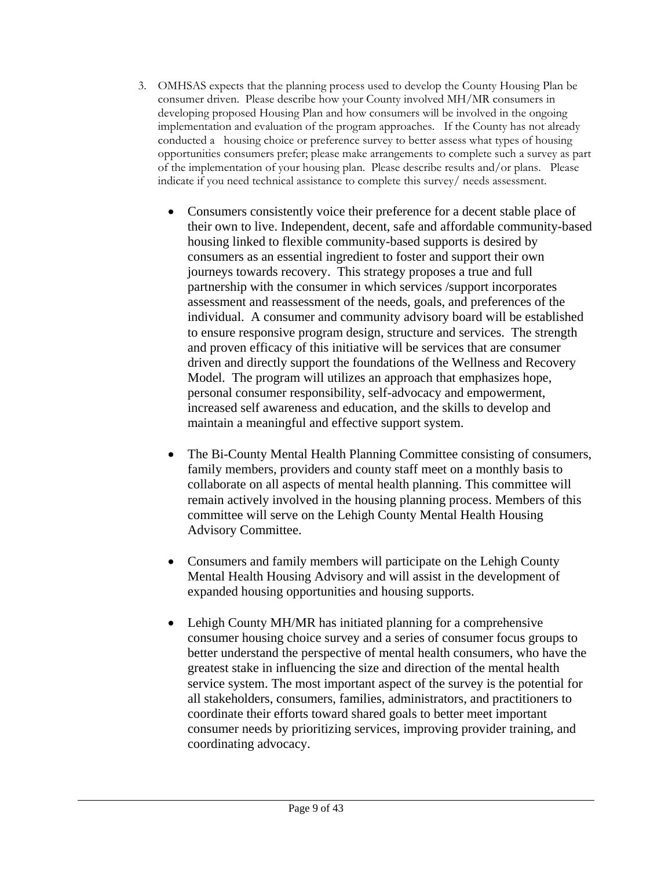- 3. OMHSAS expects that the planning process used to develop the County Housing Plan be consumer driven. Please describe how your County involved MH/MR consumers in developing proposed Housing Plan and how consumers will be involved in the ongoing implementation and evaluation of the program approaches. If the County has not already conducted a housing choice or preference survey to better assess what types of housing opportunities consumers prefer; please make arrangements to complete such a survey as part of the implementation of your housing plan. Please describe results and/or plans. Please indicate if you need technical assistance to complete this survey/ needs assessment.
	- Consumers consistently voice their preference for a decent stable place of their own to live. Independent, decent, safe and affordable community-based housing linked to flexible community-based supports is desired by consumers as an essential ingredient to foster and support their own journeys towards recovery. This strategy proposes a true and full partnership with the consumer in which services /support incorporates assessment and reassessment of the needs, goals, and preferences of the individual. A consumer and community advisory board will be established to ensure responsive program design, structure and services. The strength and proven efficacy of this initiative will be services that are consumer driven and directly support the foundations of the Wellness and Recovery Model. The program will utilizes an approach that emphasizes hope, personal consumer responsibility, self-advocacy and empowerment, increased self awareness and education, and the skills to develop and maintain a meaningful and effective support system.
	- The Bi-County Mental Health Planning Committee consisting of consumers, family members, providers and county staff meet on a monthly basis to collaborate on all aspects of mental health planning. This committee will remain actively involved in the housing planning process. Members of this committee will serve on the Lehigh County Mental Health Housing Advisory Committee.
	- Consumers and family members will participate on the Lehigh County Mental Health Housing Advisory and will assist in the development of expanded housing opportunities and housing supports.
	- Lehigh County MH/MR has initiated planning for a comprehensive consumer housing choice survey and a series of consumer focus groups to better understand the perspective of mental health consumers, who have the greatest stake in influencing the size and direction of the mental health service system. The most important aspect of the survey is the potential for all stakeholders, consumers, families, administrators, and practitioners to coordinate their efforts toward shared goals to better meet important consumer needs by prioritizing services, improving provider training, and coordinating advocacy.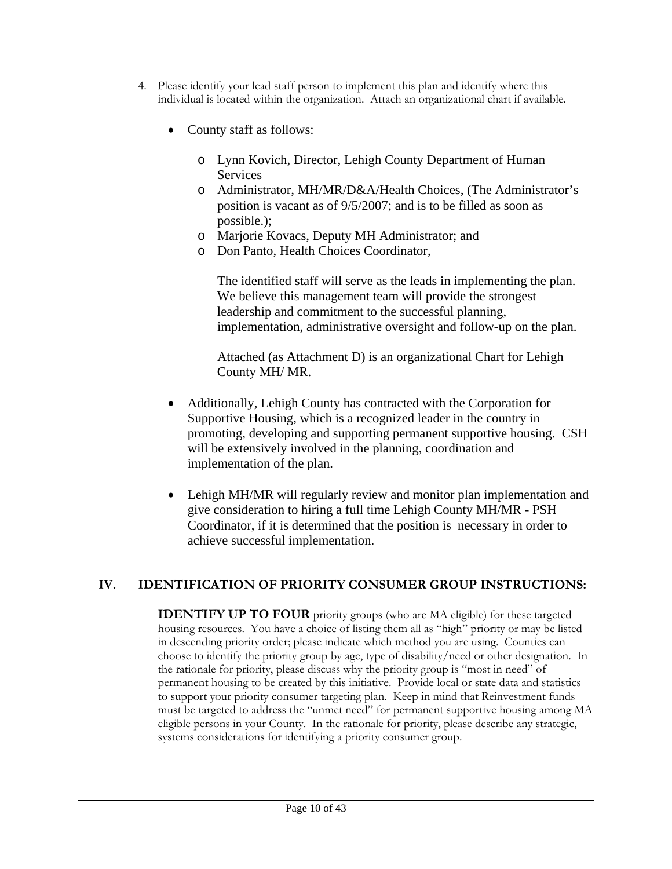- 4. Please identify your lead staff person to implement this plan and identify where this individual is located within the organization. Attach an organizational chart if available.
	- County staff as follows:
		- o Lynn Kovich, Director, Lehigh County Department of Human Services
		- o Administrator, MH/MR/D&A/Health Choices, (The Administrator's position is vacant as of 9/5/2007; and is to be filled as soon as possible.);
		- o Marjorie Kovacs, Deputy MH Administrator; and
		- o Don Panto, Health Choices Coordinator,

The identified staff will serve as the leads in implementing the plan. We believe this management team will provide the strongest leadership and commitment to the successful planning, implementation, administrative oversight and follow-up on the plan.

Attached (as Attachment D) is an organizational Chart for Lehigh County MH/ MR.

- Additionally, Lehigh County has contracted with the Corporation for Supportive Housing, which is a recognized leader in the country in promoting, developing and supporting permanent supportive housing. CSH will be extensively involved in the planning, coordination and implementation of the plan.
- Lehigh MH/MR will regularly review and monitor plan implementation and give consideration to hiring a full time Lehigh County MH/MR - PSH Coordinator, if it is determined that the position is necessary in order to achieve successful implementation.

# **IV. IDENTIFICATION OF PRIORITY CONSUMER GROUP INSTRUCTIONS:**

**IDENTIFY UP TO FOUR** priority groups (who are MA eligible) for these targeted housing resources. You have a choice of listing them all as "high" priority or may be listed in descending priority order; please indicate which method you are using. Counties can choose to identify the priority group by age, type of disability/need or other designation. In the rationale for priority, please discuss why the priority group is "most in need" of permanent housing to be created by this initiative. Provide local or state data and statistics to support your priority consumer targeting plan. Keep in mind that Reinvestment funds must be targeted to address the "unmet need" for permanent supportive housing among MA eligible persons in your County. In the rationale for priority, please describe any strategic, systems considerations for identifying a priority consumer group.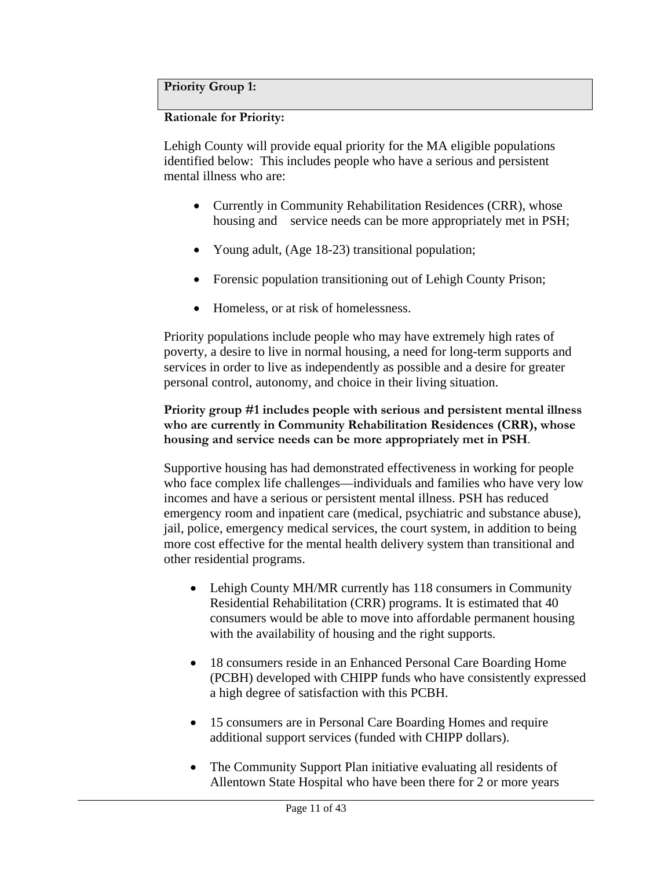#### **Priority Group 1:**

**Rationale for Priority:** 

Lehigh County will provide equal priority for the MA eligible populations identified below: This includes people who have a serious and persistent mental illness who are:

- Currently in Community Rehabilitation Residences (CRR), whose housing and service needs can be more appropriately met in PSH;
- Young adult, (Age 18-23) transitional population;
- Forensic population transitioning out of Lehigh County Prison;
- Homeless, or at risk of homelessness.

Priority populations include people who may have extremely high rates of poverty, a desire to live in normal housing, a need for long-term supports and services in order to live as independently as possible and a desire for greater personal control, autonomy, and choice in their living situation.

#### **Priority group #1 includes people with serious and persistent mental illness who are currently in Community Rehabilitation Residences (CRR), whose housing and service needs can be more appropriately met in PSH**.

Supportive housing has had demonstrated effectiveness in working for people who face complex life challenges—individuals and families who have very low incomes and have a serious or persistent mental illness. PSH has reduced emergency room and inpatient care (medical, psychiatric and substance abuse), jail, police, emergency medical services, the court system, in addition to being more cost effective for the mental health delivery system than transitional and other residential programs.

- Lehigh County MH/MR currently has 118 consumers in Community Residential Rehabilitation (CRR) programs. It is estimated that 40 consumers would be able to move into affordable permanent housing with the availability of housing and the right supports.
- 18 consumers reside in an Enhanced Personal Care Boarding Home (PCBH) developed with CHIPP funds who have consistently expressed a high degree of satisfaction with this PCBH.
- 15 consumers are in Personal Care Boarding Homes and require additional support services (funded with CHIPP dollars).
- The Community Support Plan initiative evaluating all residents of Allentown State Hospital who have been there for 2 or more years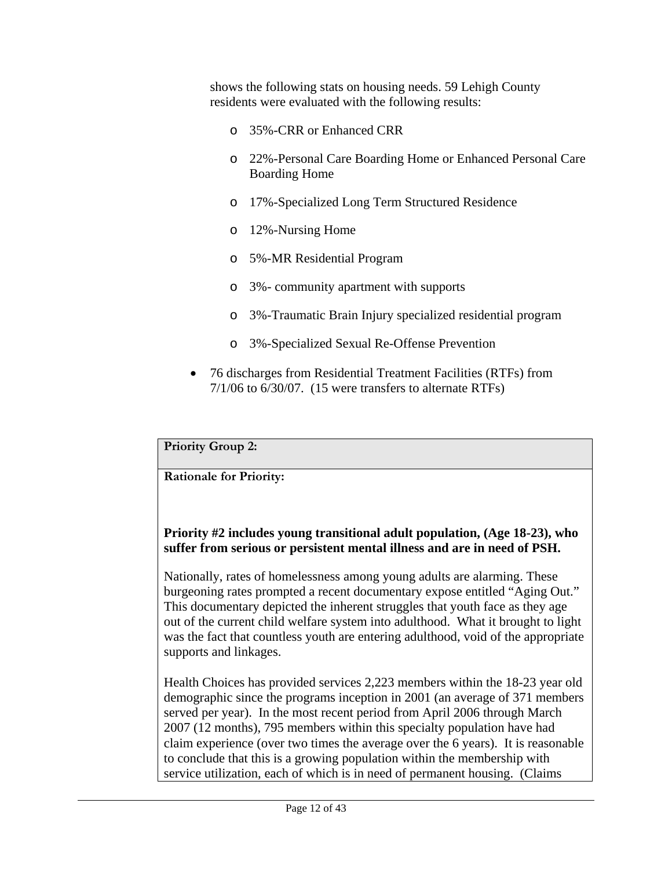shows the following stats on housing needs. 59 Lehigh County residents were evaluated with the following results:

- o 35%-CRR or Enhanced CRR
- o 22%-Personal Care Boarding Home or Enhanced Personal Care Boarding Home
- o 17%-Specialized Long Term Structured Residence
- o 12%-Nursing Home
- o 5%-MR Residential Program
- o 3%- community apartment with supports
- o 3%-Traumatic Brain Injury specialized residential program
- o 3%-Specialized Sexual Re-Offense Prevention
- 76 discharges from Residential Treatment Facilities (RTFs) from 7/1/06 to 6/30/07. (15 were transfers to alternate RTFs)

## **Priority Group 2:**

#### **Rationale for Priority:**

#### **Priority #2 includes young transitional adult population, (Age 18-23), who suffer from serious or persistent mental illness and are in need of PSH.**

Nationally, rates of homelessness among young adults are alarming. These burgeoning rates prompted a recent documentary expose entitled "Aging Out." This documentary depicted the inherent struggles that youth face as they age out of the current child welfare system into adulthood. What it brought to light was the fact that countless youth are entering adulthood, void of the appropriate supports and linkages.

Health Choices has provided services 2,223 members within the 18-23 year old demographic since the programs inception in 2001 (an average of 371 members served per year). In the most recent period from April 2006 through March 2007 (12 months), 795 members within this specialty population have had claim experience (over two times the average over the 6 years). It is reasonable to conclude that this is a growing population within the membership with service utilization, each of which is in need of permanent housing. (Claims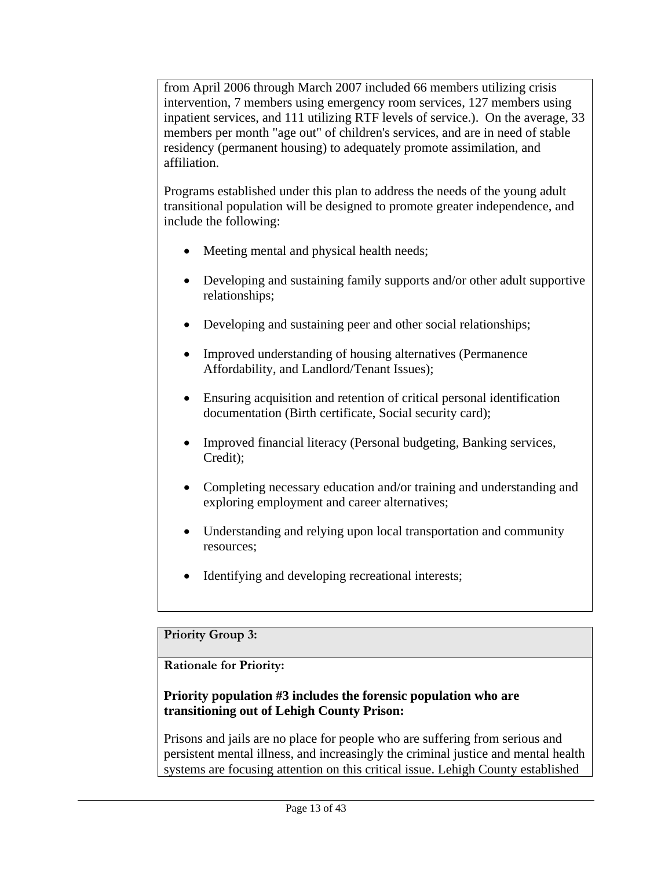from April 2006 through March 2007 included 66 members utilizing crisis intervention, 7 members using emergency room services, 127 members using inpatient services, and 111 utilizing RTF levels of service.). On the average, 33 members per month "age out" of children's services, and are in need of stable residency (permanent housing) to adequately promote assimilation, and affiliation.

Programs established under this plan to address the needs of the young adult transitional population will be designed to promote greater independence, and include the following:

- Meeting mental and physical health needs;
- Developing and sustaining family supports and/or other adult supportive relationships;
- Developing and sustaining peer and other social relationships;
- Improved understanding of housing alternatives (Permanence Affordability, and Landlord/Tenant Issues);
- Ensuring acquisition and retention of critical personal identification documentation (Birth certificate, Social security card);
- Improved financial literacy (Personal budgeting, Banking services, Credit);
- Completing necessary education and/or training and understanding and exploring employment and career alternatives;
- Understanding and relying upon local transportation and community resources;
- Identifying and developing recreational interests;

# **Priority Group 3:**

# **Rationale for Priority:**

## **Priority population #3 includes the forensic population who are transitioning out of Lehigh County Prison:**

Prisons and jails are no place for people who are suffering from serious and persistent mental illness, and increasingly the criminal justice and mental health systems are focusing attention on this critical issue. Lehigh County established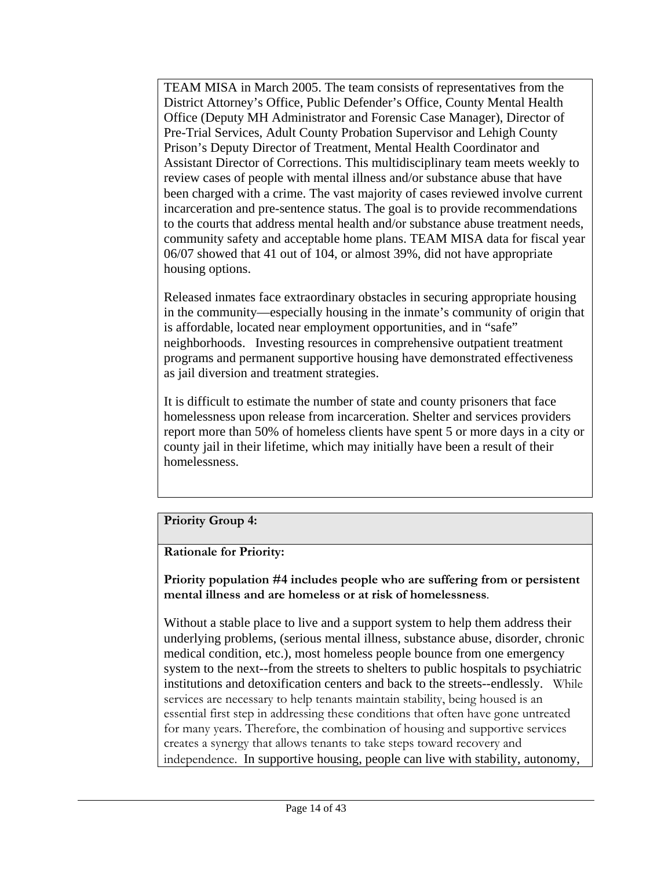TEAM MISA in March 2005. The team consists of representatives from the District Attorney's Office, Public Defender's Office, County Mental Health Office (Deputy MH Administrator and Forensic Case Manager), Director of Pre-Trial Services, Adult County Probation Supervisor and Lehigh County Prison's Deputy Director of Treatment, Mental Health Coordinator and Assistant Director of Corrections. This multidisciplinary team meets weekly to review cases of people with mental illness and/or substance abuse that have been charged with a crime. The vast majority of cases reviewed involve current incarceration and pre-sentence status. The goal is to provide recommendations to the courts that address mental health and/or substance abuse treatment needs, community safety and acceptable home plans. TEAM MISA data for fiscal year 06/07 showed that 41 out of 104, or almost 39%, did not have appropriate housing options.

Released inmates face extraordinary obstacles in securing appropriate housing in the community—especially housing in the inmate's community of origin that is affordable, located near employment opportunities, and in "safe" neighborhoods. Investing resources in comprehensive outpatient treatment programs and permanent supportive housing have demonstrated effectiveness as jail diversion and treatment strategies.

It is difficult to estimate the number of state and county prisoners that face homelessness upon release from incarceration. Shelter and services providers report more than 50% of homeless clients have spent 5 or more days in a city or county jail in their lifetime, which may initially have been a result of their homelessness.

## **Priority Group 4:**

## **Rationale for Priority:**

**Priority population #4 includes people who are suffering from or persistent mental illness and are homeless or at risk of homelessness**.

Without a stable place to live and a support system to help them address their underlying problems, (serious mental illness, substance abuse, disorder, chronic medical condition, etc.), most homeless people bounce from one emergency system to the next--from the streets to shelters to public hospitals to psychiatric institutions and detoxification centers and back to the streets--endlessly. While services are necessary to help tenants maintain stability, being housed is an essential first step in addressing these conditions that often have gone untreated for many years. Therefore, the combination of housing and supportive services creates a synergy that allows tenants to take steps toward recovery and independence. In supportive housing, people can live with stability, autonomy,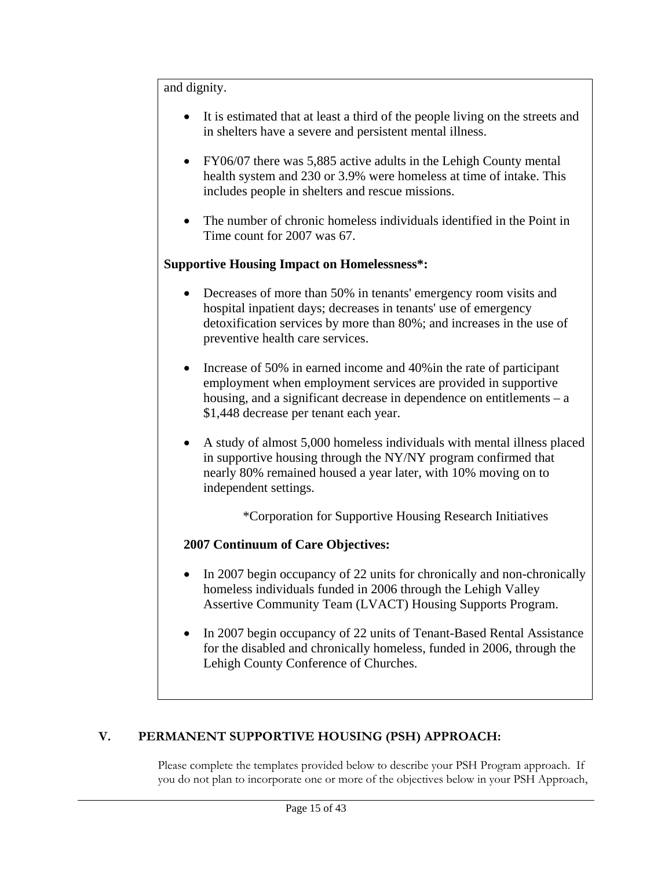and dignity.

- It is estimated that at least a third of the people living on the streets and in shelters have a severe and persistent mental illness.
- FY06/07 there was 5,885 active adults in the Lehigh County mental health system and 230 or 3.9% were homeless at time of intake. This includes people in shelters and rescue missions.
- The number of chronic homeless individuals identified in the Point in Time count for 2007 was 67.

## **Supportive Housing Impact on Homelessness\*:**

- Decreases of more than 50% in tenants' emergency room visits and hospital inpatient days; decreases in tenants' use of emergency detoxification services by more than 80%; and increases in the use of preventive health care services.
- Increase of 50% in earned income and 40%in the rate of participant employment when employment services are provided in supportive housing, and a significant decrease in dependence on entitlements – a \$1,448 decrease per tenant each year.
- A study of almost 5,000 homeless individuals with mental illness placed in supportive housing through the NY/NY program confirmed that nearly 80% remained housed a year later, with 10% moving on to independent settings.

\*Corporation for Supportive Housing Research Initiatives

## **2007 Continuum of Care Objectives:**

- In 2007 begin occupancy of 22 units for chronically and non-chronically homeless individuals funded in 2006 through the Lehigh Valley Assertive Community Team (LVACT) Housing Supports Program.
- In 2007 begin occupancy of 22 units of Tenant-Based Rental Assistance for the disabled and chronically homeless, funded in 2006, through the Lehigh County Conference of Churches.

# **V. PERMANENT SUPPORTIVE HOUSING (PSH) APPROACH:**

Please complete the templates provided below to describe your PSH Program approach. If you do not plan to incorporate one or more of the objectives below in your PSH Approach,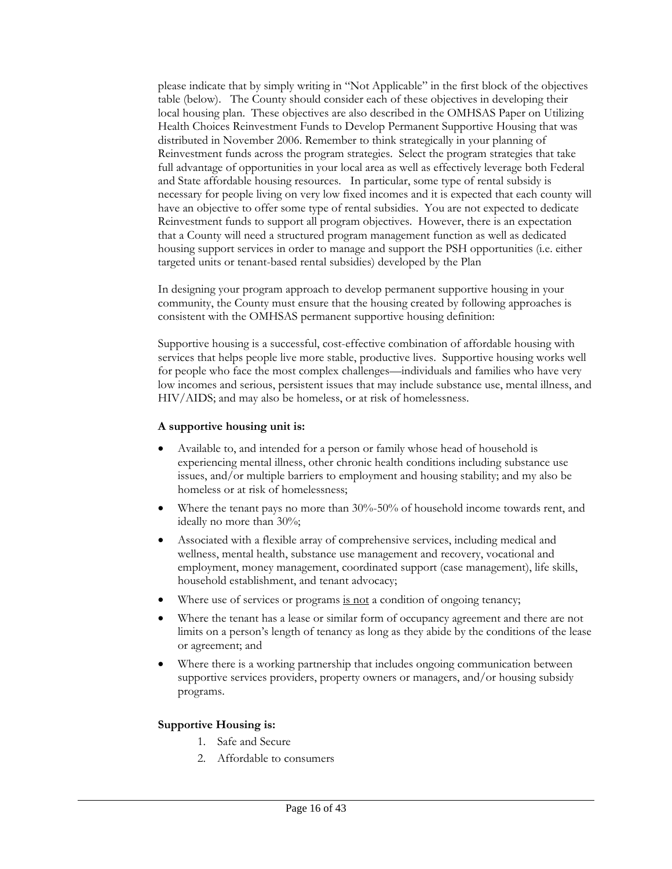please indicate that by simply writing in "Not Applicable" in the first block of the objectives table (below). The County should consider each of these objectives in developing their local housing plan. These objectives are also described in the OMHSAS Paper on Utilizing Health Choices Reinvestment Funds to Develop Permanent Supportive Housing that was distributed in November 2006. Remember to think strategically in your planning of Reinvestment funds across the program strategies. Select the program strategies that take full advantage of opportunities in your local area as well as effectively leverage both Federal and State affordable housing resources. In particular, some type of rental subsidy is necessary for people living on very low fixed incomes and it is expected that each county will have an objective to offer some type of rental subsidies. You are not expected to dedicate Reinvestment funds to support all program objectives. However, there is an expectation that a County will need a structured program management function as well as dedicated housing support services in order to manage and support the PSH opportunities (i.e. either targeted units or tenant-based rental subsidies) developed by the Plan

In designing your program approach to develop permanent supportive housing in your community, the County must ensure that the housing created by following approaches is consistent with the OMHSAS permanent supportive housing definition:

Supportive housing is a successful, cost-effective combination of affordable housing with services that helps people live more stable, productive lives. Supportive housing works well for people who face the most complex challenges—individuals and families who have very low incomes and serious, persistent issues that may include substance use, mental illness, and HIV/AIDS; and may also be homeless, or at risk of homelessness.

#### **A supportive housing unit is:**

- Available to, and intended for a person or family whose head of household is experiencing mental illness, other chronic health conditions including substance use issues, and/or multiple barriers to employment and housing stability; and my also be homeless or at risk of homelessness;
- Where the tenant pays no more than 30%-50% of household income towards rent, and ideally no more than 30%;
- Associated with a flexible array of comprehensive services, including medical and wellness, mental health, substance use management and recovery, vocational and employment, money management, coordinated support (case management), life skills, household establishment, and tenant advocacy;
- Where use of services or programs is not a condition of ongoing tenancy;
- Where the tenant has a lease or similar form of occupancy agreement and there are not limits on a person's length of tenancy as long as they abide by the conditions of the lease or agreement; and
- Where there is a working partnership that includes ongoing communication between supportive services providers, property owners or managers, and/or housing subsidy programs.

#### **Supportive Housing is:**

- 1. Safe and Secure
- 2. Affordable to consumers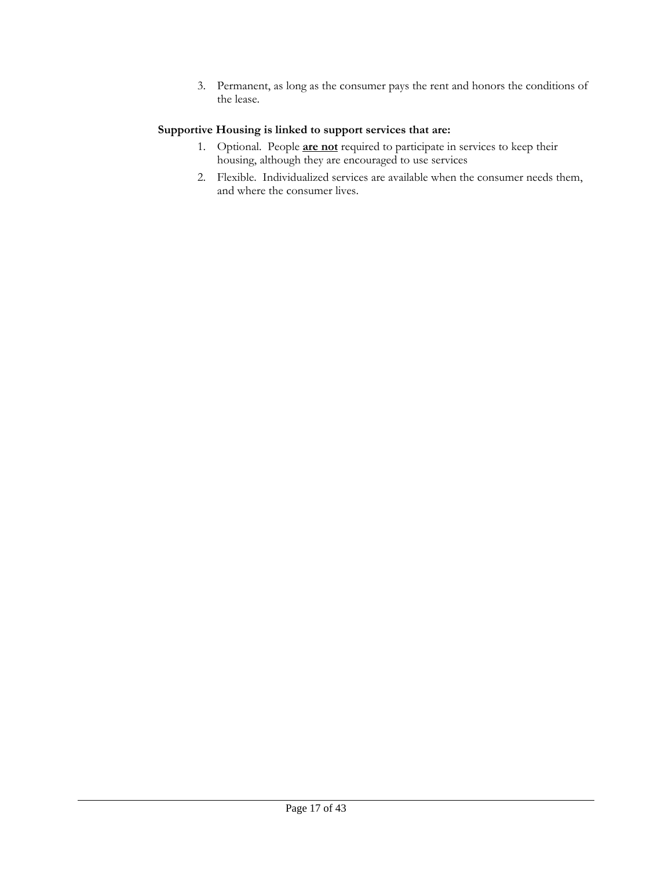3. Permanent, as long as the consumer pays the rent and honors the conditions of the lease.

#### **Supportive Housing is linked to support services that are:**

- 1. Optional. People **are not** required to participate in services to keep their housing, although they are encouraged to use services
- 2. Flexible. Individualized services are available when the consumer needs them, and where the consumer lives.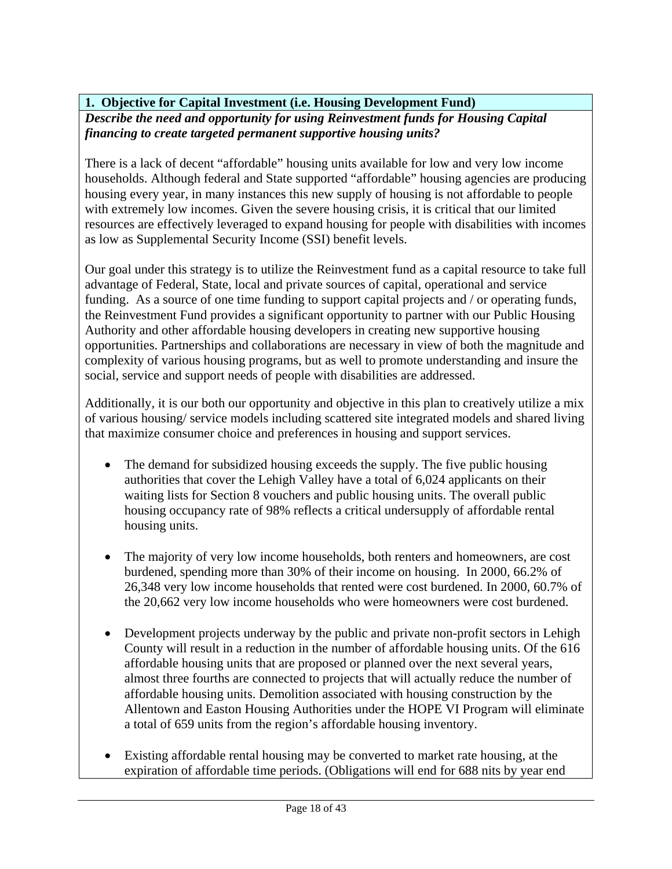# **1. Objective for Capital Investment (i.e. Housing Development Fund)**

*Describe the need and opportunity for using Reinvestment funds for Housing Capital financing to create targeted permanent supportive housing units?* 

There is a lack of decent "affordable" housing units available for low and very low income households. Although federal and State supported "affordable" housing agencies are producing housing every year, in many instances this new supply of housing is not affordable to people with extremely low incomes. Given the severe housing crisis, it is critical that our limited resources are effectively leveraged to expand housing for people with disabilities with incomes as low as Supplemental Security Income (SSI) benefit levels.

Our goal under this strategy is to utilize the Reinvestment fund as a capital resource to take full advantage of Federal, State, local and private sources of capital, operational and service funding. As a source of one time funding to support capital projects and / or operating funds, the Reinvestment Fund provides a significant opportunity to partner with our Public Housing Authority and other affordable housing developers in creating new supportive housing opportunities. Partnerships and collaborations are necessary in view of both the magnitude and complexity of various housing programs, but as well to promote understanding and insure the social, service and support needs of people with disabilities are addressed.

Additionally, it is our both our opportunity and objective in this plan to creatively utilize a mix of various housing/ service models including scattered site integrated models and shared living that maximize consumer choice and preferences in housing and support services.

- The demand for subsidized housing exceeds the supply. The five public housing authorities that cover the Lehigh Valley have a total of 6,024 applicants on their waiting lists for Section 8 vouchers and public housing units. The overall public housing occupancy rate of 98% reflects a critical undersupply of affordable rental housing units.
- The majority of very low income households, both renters and homeowners, are cost burdened, spending more than 30% of their income on housing. In 2000, 66.2% of 26,348 very low income households that rented were cost burdened. In 2000, 60.7% of the 20,662 very low income households who were homeowners were cost burdened.
- Development projects underway by the public and private non-profit sectors in Lehigh County will result in a reduction in the number of affordable housing units. Of the 616 affordable housing units that are proposed or planned over the next several years, almost three fourths are connected to projects that will actually reduce the number of affordable housing units. Demolition associated with housing construction by the Allentown and Easton Housing Authorities under the HOPE VI Program will eliminate a total of 659 units from the region's affordable housing inventory.
- Existing affordable rental housing may be converted to market rate housing, at the expiration of affordable time periods. (Obligations will end for 688 nits by year end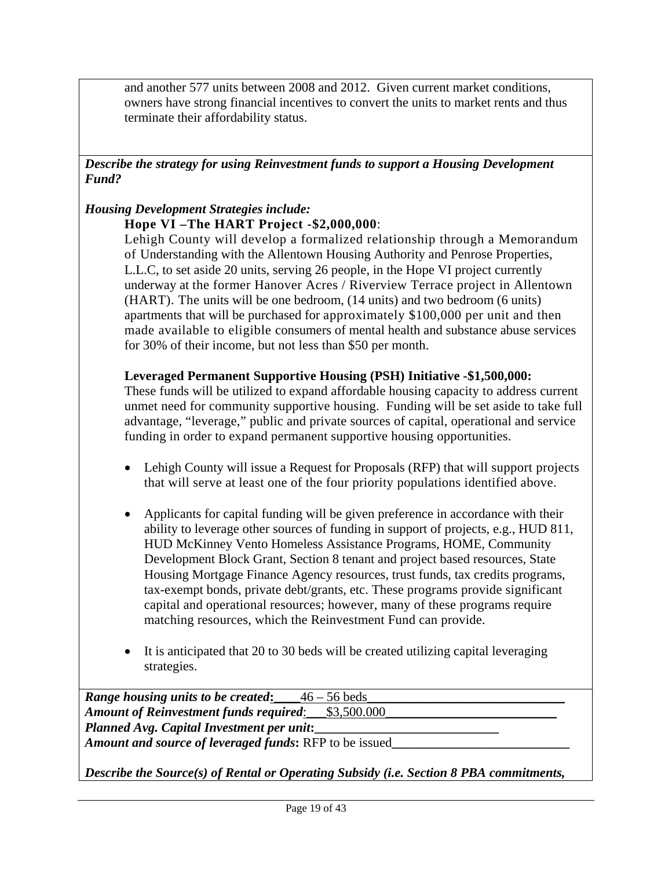and another 577 units between 2008 and 2012. Given current market conditions, owners have strong financial incentives to convert the units to market rents and thus terminate their affordability status.

*Describe the strategy for using Reinvestment funds to support a Housing Development Fund?* 

## *Housing Development Strategies include:*

## **Hope VI –The HART Project -\$2,000,000**:

Lehigh County will develop a formalized relationship through a Memorandum of Understanding with the Allentown Housing Authority and Penrose Properties, L.L.C, to set aside 20 units, serving 26 people, in the Hope VI project currently underway at the former Hanover Acres / Riverview Terrace project in Allentown (HART). The units will be one bedroom, (14 units) and two bedroom (6 units) apartments that will be purchased for approximately \$100,000 per unit and then made available to eligible consumers of mental health and substance abuse services for 30% of their income, but not less than \$50 per month.

## **Leveraged Permanent Supportive Housing (PSH) Initiative -\$1,500,000:**

These funds will be utilized to expand affordable housing capacity to address current unmet need for community supportive housing. Funding will be set aside to take full advantage, "leverage," public and private sources of capital, operational and service funding in order to expand permanent supportive housing opportunities.

- Lehigh County will issue a Request for Proposals (RFP) that will support projects that will serve at least one of the four priority populations identified above.
- Applicants for capital funding will be given preference in accordance with their ability to leverage other sources of funding in support of projects, e.g., HUD 811, HUD McKinney Vento Homeless Assistance Programs, HOME, Community Development Block Grant, Section 8 tenant and project based resources, State Housing Mortgage Finance Agency resources, trust funds, tax credits programs, tax-exempt bonds, private debt/grants, etc. These programs provide significant capital and operational resources; however, many of these programs require matching resources, which the Reinvestment Fund can provide.
- It is anticipated that 20 to 30 beds will be created utilizing capital leveraging strategies.

*Range housing units to be created*:  $\qquad \qquad 46 - 56$  beds *Amount of Reinvestment funds required*:\_\_\_\$3,500.000\_\_\_\_\_\_\_\_\_\_\_\_\_\_\_\_\_\_\_\_\_\_\_\_\_\_ *Planned Avg. Capital Investment per unit: Amount and source of leveraged funds*: RFP to be issued

*Describe the Source(s) of Rental or Operating Subsidy (i.e. Section 8 PBA commitments,*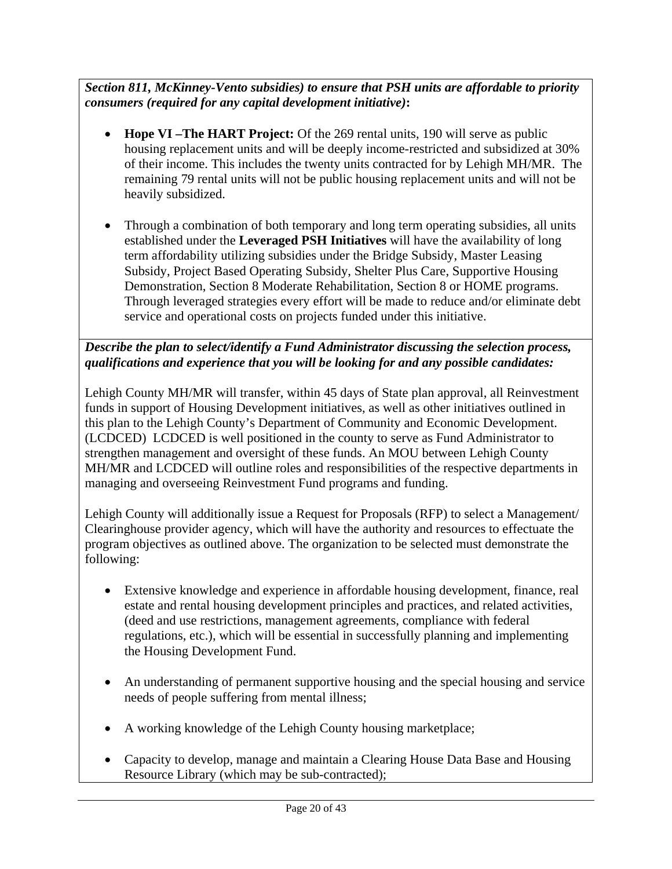*Section 811, McKinney-Vento subsidies) to ensure that PSH units are affordable to priority consumers (required for any capital development initiative)***:** 

- **Hope VI –The HART Project:** Of the 269 rental units, 190 will serve as public housing replacement units and will be deeply income-restricted and subsidized at 30% of their income. This includes the twenty units contracted for by Lehigh MH/MR. The remaining 79 rental units will not be public housing replacement units and will not be heavily subsidized.
- Through a combination of both temporary and long term operating subsidies, all units established under the **Leveraged PSH Initiatives** will have the availability of long term affordability utilizing subsidies under the Bridge Subsidy, Master Leasing Subsidy, Project Based Operating Subsidy, Shelter Plus Care, Supportive Housing Demonstration, Section 8 Moderate Rehabilitation, Section 8 or HOME programs. Through leveraged strategies every effort will be made to reduce and/or eliminate debt service and operational costs on projects funded under this initiative.

# *Describe the plan to select/identify a Fund Administrator discussing the selection process, qualifications and experience that you will be looking for and any possible candidates:*

Lehigh County MH/MR will transfer, within 45 days of State plan approval, all Reinvestment funds in support of Housing Development initiatives, as well as other initiatives outlined in this plan to the Lehigh County's Department of Community and Economic Development. (LCDCED) LCDCED is well positioned in the county to serve as Fund Administrator to strengthen management and oversight of these funds. An MOU between Lehigh County MH/MR and LCDCED will outline roles and responsibilities of the respective departments in managing and overseeing Reinvestment Fund programs and funding.

Lehigh County will additionally issue a Request for Proposals (RFP) to select a Management/ Clearinghouse provider agency, which will have the authority and resources to effectuate the program objectives as outlined above. The organization to be selected must demonstrate the following:

- Extensive knowledge and experience in affordable housing development, finance, real estate and rental housing development principles and practices, and related activities, (deed and use restrictions, management agreements, compliance with federal regulations, etc.), which will be essential in successfully planning and implementing the Housing Development Fund.
- An understanding of permanent supportive housing and the special housing and service needs of people suffering from mental illness;
- A working knowledge of the Lehigh County housing marketplace;
- Capacity to develop, manage and maintain a Clearing House Data Base and Housing Resource Library (which may be sub-contracted);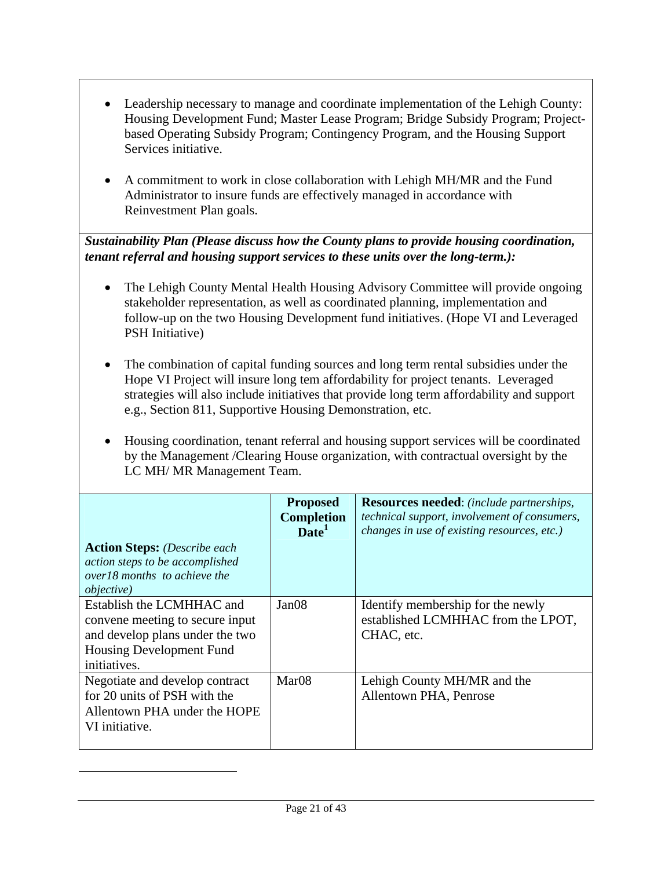- Leadership necessary to manage and coordinate implementation of the Lehigh County: Housing Development Fund; Master Lease Program; Bridge Subsidy Program; Projectbased Operating Subsidy Program; Contingency Program, and the Housing Support Services initiative.
- A commitment to work in close collaboration with Lehigh MH/MR and the Fund Administrator to insure funds are effectively managed in accordance with Reinvestment Plan goals.

*Sustainability Plan (Please discuss how the County plans to provide housing coordination, tenant referral and housing support services to these units over the long-term.):* 

- The Lehigh County Mental Health Housing Advisory Committee will provide ongoing stakeholder representation, as well as coordinated planning, implementation and follow-up on the two Housing Development fund initiatives. (Hope VI and Leveraged PSH Initiative)
- The combination of capital funding sources and long term rental subsidies under the Hope VI Project will insure long tem affordability for project tenants. Leveraged strategies will also include initiatives that provide long term affordability and support e.g., Section 811, Supportive Housing Demonstration, etc.
- Housing coordination, tenant referral and housing support services will be coordinated by the Management /Clearing House organization, with contractual oversight by the LC MH/ MR Management Team.

|                                                                                                                                             | <b>Proposed</b><br><b>Completion</b><br>Date <sup>1</sup> | <b>Resources needed:</b> (include partnerships,<br>technical support, involvement of consumers,<br>changes in use of existing resources, etc.) |
|---------------------------------------------------------------------------------------------------------------------------------------------|-----------------------------------------------------------|------------------------------------------------------------------------------------------------------------------------------------------------|
| <b>Action Steps:</b> (Describe each)<br>action steps to be accomplished<br>over18 months to achieve the<br><i>objective</i> )               |                                                           |                                                                                                                                                |
| Establish the LCMHHAC and<br>convene meeting to secure input<br>and develop plans under the two<br>Housing Development Fund<br>initiatives. | Jan <sub>08</sub>                                         | Identify membership for the newly<br>established LCMHHAC from the LPOT,<br>CHAC, etc.                                                          |
| Negotiate and develop contract<br>for 20 units of PSH with the<br>Allentown PHA under the HOPE<br>VI initiative.                            | Mar <sub>08</sub>                                         | Lehigh County MH/MR and the<br>Allentown PHA, Penrose                                                                                          |

 $\overline{a}$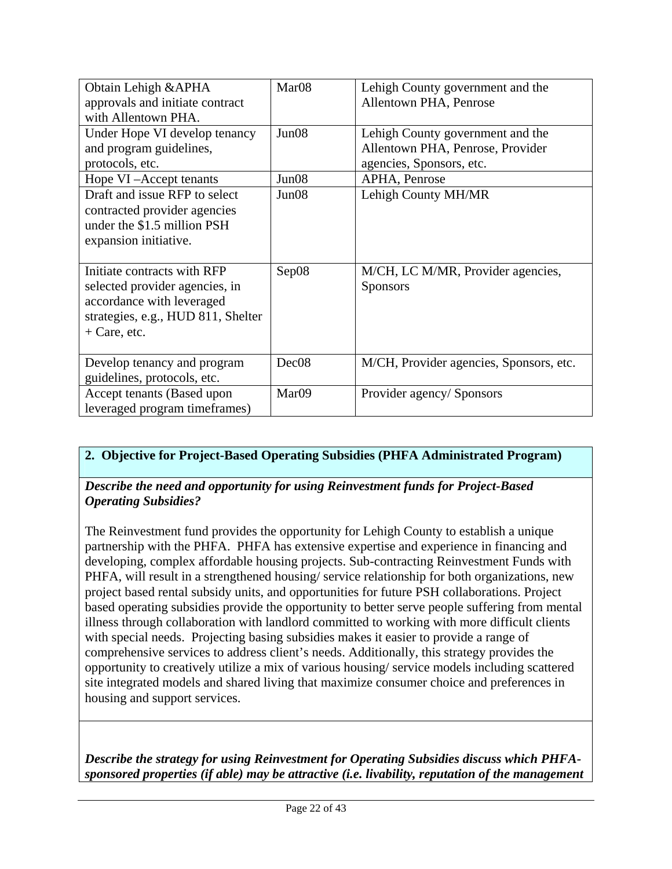| Obtain Lehigh & APHA<br>approvals and initiate contract<br>with Allentown PHA.                                                                     | Mar <sub>08</sub> | Lehigh County government and the<br>Allentown PHA, Penrose           |
|----------------------------------------------------------------------------------------------------------------------------------------------------|-------------------|----------------------------------------------------------------------|
| Under Hope VI develop tenancy<br>and program guidelines,<br>protocols, etc.                                                                        | Jun08             | Lehigh County government and the<br>Allentown PHA, Penrose, Provider |
| Hope VI-Accept tenants                                                                                                                             | Jun08             | agencies, Sponsors, etc.<br>APHA, Penrose                            |
| Draft and issue RFP to select<br>contracted provider agencies<br>under the \$1.5 million PSH<br>expansion initiative.                              | Jun08             | Lehigh County MH/MR                                                  |
| Initiate contracts with RFP<br>selected provider agencies, in<br>accordance with leveraged<br>strategies, e.g., HUD 811, Shelter<br>$+$ Care, etc. | Sep08             | M/CH, LC M/MR, Provider agencies,<br><b>Sponsors</b>                 |
| Develop tenancy and program<br>guidelines, protocols, etc.                                                                                         | Dec <sub>08</sub> | M/CH, Provider agencies, Sponsors, etc.                              |
| Accept tenants (Based upon<br>leveraged program timeframes)                                                                                        | Mar <sub>09</sub> | Provider agency/ Sponsors                                            |

## **2. Objective for Project-Based Operating Subsidies (PHFA Administrated Program)**

*Describe the need and opportunity for using Reinvestment funds for Project-Based Operating Subsidies?* 

The Reinvestment fund provides the opportunity for Lehigh County to establish a unique partnership with the PHFA. PHFA has extensive expertise and experience in financing and developing, complex affordable housing projects. Sub-contracting Reinvestment Funds with PHFA, will result in a strengthened housing/ service relationship for both organizations, new project based rental subsidy units, and opportunities for future PSH collaborations. Project based operating subsidies provide the opportunity to better serve people suffering from mental illness through collaboration with landlord committed to working with more difficult clients with special needs. Projecting basing subsidies makes it easier to provide a range of comprehensive services to address client's needs. Additionally, this strategy provides the opportunity to creatively utilize a mix of various housing/ service models including scattered site integrated models and shared living that maximize consumer choice and preferences in housing and support services.

*Describe the strategy for using Reinvestment for Operating Subsidies discuss which PHFAsponsored properties (if able) may be attractive (i.e. livability, reputation of the management*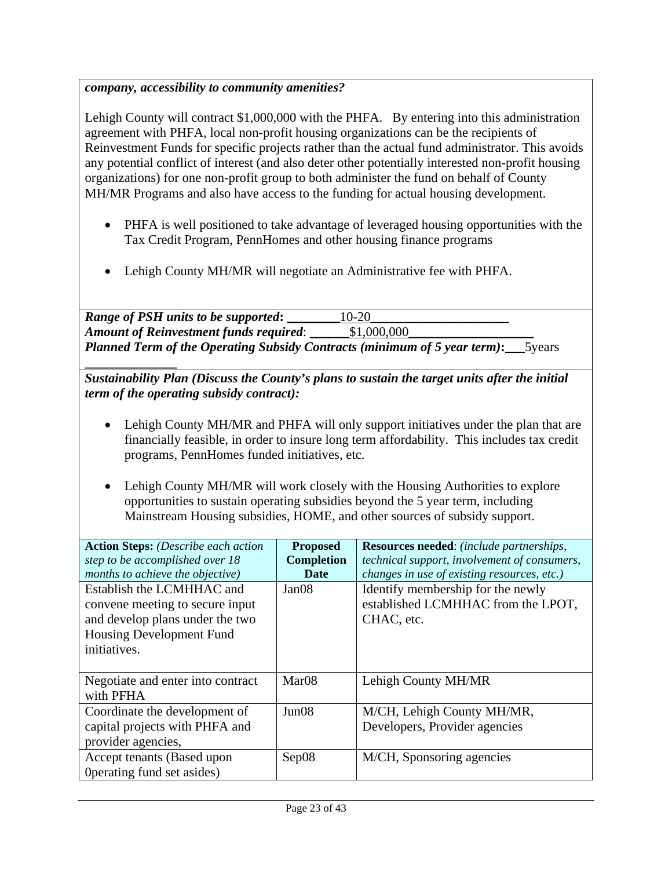## *company, accessibility to community amenities?*

**\_\_\_\_\_\_\_\_\_\_\_\_\_\_** 

Lehigh County will contract \$1,000,000 with the PHFA. By entering into this administration agreement with PHFA, local non-profit housing organizations can be the recipients of Reinvestment Funds for specific projects rather than the actual fund administrator. This avoids any potential conflict of interest (and also deter other potentially interested non-profit housing organizations) for one non-profit group to both administer the fund on behalf of County MH/MR Programs and also have access to the funding for actual housing development.

- PHFA is well positioned to take advantage of leveraged housing opportunities with the Tax Credit Program, PennHomes and other housing finance programs
- Lehigh County MH/MR will negotiate an Administrative fee with PHFA.

*Range of PSH units to be supported*: \_\_\_\_\_\_\_\_\_\_10-20\_ *Amount of Reinvestment funds required:* \$1,000,000 *Planned Term of the Operating Subsidy Contracts (minimum of 5 year term)***:\_\_\_**5years

*Sustainability Plan (Discuss the County's plans to sustain the target units after the initial term of the operating subsidy contract):* 

- Lehigh County MH/MR and PHFA will only support initiatives under the plan that are financially feasible, in order to insure long term affordability. This includes tax credit programs, PennHomes funded initiatives, etc.
- Lehigh County MH/MR will work closely with the Housing Authorities to explore opportunities to sustain operating subsidies beyond the 5 year term, including Mainstream Housing subsidies, HOME, and other sources of subsidy support.

| <b>Action Steps:</b> (Describe each action<br>step to be accomplished over 18<br>months to achieve the objective)                           | <b>Proposed</b><br><b>Completion</b><br><b>Date</b> | <b>Resources needed:</b> (include partnerships,<br>technical support, involvement of consumers,<br>changes in use of existing resources, etc.) |
|---------------------------------------------------------------------------------------------------------------------------------------------|-----------------------------------------------------|------------------------------------------------------------------------------------------------------------------------------------------------|
| Establish the LCMHHAC and<br>convene meeting to secure input<br>and develop plans under the two<br>Housing Development Fund<br>initiatives. | Jan08                                               | Identify membership for the newly<br>established LCMHHAC from the LPOT,<br>CHAC, etc.                                                          |
| Negotiate and enter into contract<br>with PFHA                                                                                              | Mar <sub>08</sub>                                   | Lehigh County MH/MR                                                                                                                            |
| Coordinate the development of<br>capital projects with PHFA and<br>provider agencies,                                                       | Jun08                                               | M/CH, Lehigh County MH/MR,<br>Developers, Provider agencies                                                                                    |
| Accept tenants (Based upon<br>Operating fund set asides)                                                                                    | Sep08                                               | M/CH, Sponsoring agencies                                                                                                                      |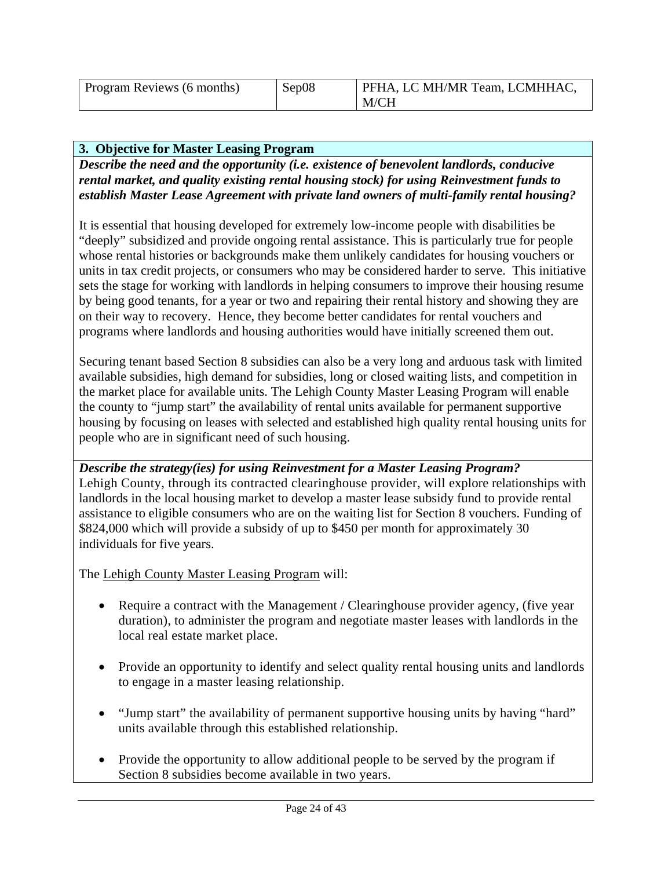| Program Reviews (6 months) | Sep08 | PFHA, LC MH/MR Team, LCMHHAC, |
|----------------------------|-------|-------------------------------|
|                            |       | M/CH                          |

## **3. Objective for Master Leasing Program**

*Describe the need and the opportunity (i.e. existence of benevolent landlords, conducive rental market, and quality existing rental housing stock) for using Reinvestment funds to establish Master Lease Agreement with private land owners of multi-family rental housing?* 

It is essential that housing developed for extremely low-income people with disabilities be "deeply" subsidized and provide ongoing rental assistance. This is particularly true for people whose rental histories or backgrounds make them unlikely candidates for housing vouchers or units in tax credit projects, or consumers who may be considered harder to serve. This initiative sets the stage for working with landlords in helping consumers to improve their housing resume by being good tenants, for a year or two and repairing their rental history and showing they are on their way to recovery. Hence, they become better candidates for rental vouchers and programs where landlords and housing authorities would have initially screened them out.

Securing tenant based Section 8 subsidies can also be a very long and arduous task with limited available subsidies, high demand for subsidies, long or closed waiting lists, and competition in the market place for available units. The Lehigh County Master Leasing Program will enable the county to "jump start" the availability of rental units available for permanent supportive housing by focusing on leases with selected and established high quality rental housing units for people who are in significant need of such housing.

*Describe the strategy(ies) for using Reinvestment for a Master Leasing Program?*  Lehigh County, through its contracted clearinghouse provider, will explore relationships with landlords in the local housing market to develop a master lease subsidy fund to provide rental assistance to eligible consumers who are on the waiting list for Section 8 vouchers. Funding of \$824,000 which will provide a subsidy of up to \$450 per month for approximately 30 individuals for five years.

The Lehigh County Master Leasing Program will:

- Require a contract with the Management / Clearinghouse provider agency, (five year duration), to administer the program and negotiate master leases with landlords in the local real estate market place.
- Provide an opportunity to identify and select quality rental housing units and landlords to engage in a master leasing relationship.
- "Jump start" the availability of permanent supportive housing units by having "hard" units available through this established relationship.
- Provide the opportunity to allow additional people to be served by the program if Section 8 subsidies become available in two years.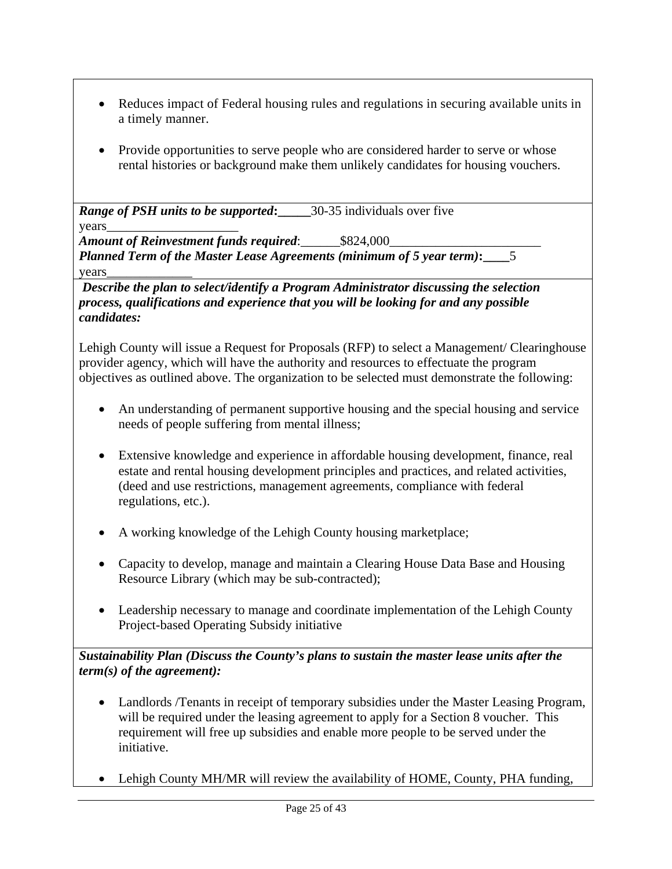- Reduces impact of Federal housing rules and regulations in securing available units in a timely manner.
- Provide opportunities to serve people who are considered harder to serve or whose rental histories or background make them unlikely candidates for housing vouchers.

*Range of PSH units to be supported***:\_\_\_\_\_**30-35 individuals over five

years *Amount of Reinvestment funds required:* \$824,000 *Planned Term of the Master Lease Agreements (minimum of 5 year term)***:\_\_\_\_**5 years\_\_\_\_\_\_\_\_\_\_\_\_\_

 *Describe the plan to select/identify a Program Administrator discussing the selection process, qualifications and experience that you will be looking for and any possible candidates:* 

Lehigh County will issue a Request for Proposals (RFP) to select a Management/ Clearinghouse provider agency, which will have the authority and resources to effectuate the program objectives as outlined above. The organization to be selected must demonstrate the following:

- An understanding of permanent supportive housing and the special housing and service needs of people suffering from mental illness;
- Extensive knowledge and experience in affordable housing development, finance, real estate and rental housing development principles and practices, and related activities, (deed and use restrictions, management agreements, compliance with federal regulations, etc.).
- A working knowledge of the Lehigh County housing marketplace;
- Capacity to develop, manage and maintain a Clearing House Data Base and Housing Resource Library (which may be sub-contracted);
- Leadership necessary to manage and coordinate implementation of the Lehigh County Project-based Operating Subsidy initiative

*Sustainability Plan (Discuss the County's plans to sustain the master lease units after the term(s) of the agreement):* 

- Landlords /Tenants in receipt of temporary subsidies under the Master Leasing Program, will be required under the leasing agreement to apply for a Section 8 voucher. This requirement will free up subsidies and enable more people to be served under the initiative.
- Lehigh County MH/MR will review the availability of HOME, County, PHA funding,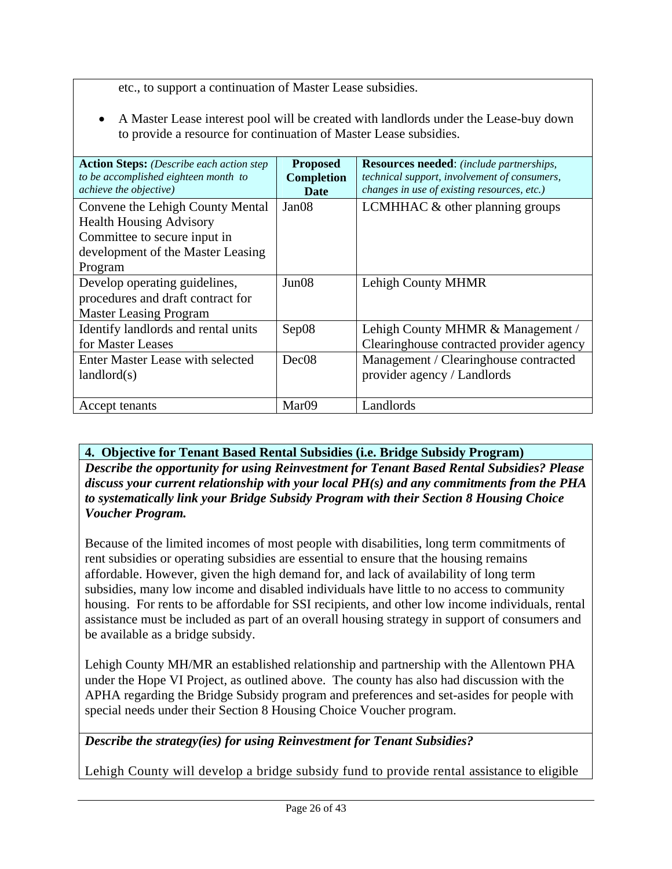etc., to support a continuation of Master Lease subsidies.

 A Master Lease interest pool will be created with landlords under the Lease-buy down to provide a resource for continuation of Master Lease subsidies.

| <b>Action Steps:</b> (Describe each action step) | <b>Proposed</b>   | <b>Resources needed:</b> (include partnerships,     |
|--------------------------------------------------|-------------------|-----------------------------------------------------|
| to be accomplished eighteen month to             | <b>Completion</b> | <i>technical support, involvement of consumers,</i> |
| <i>achieve the objective</i> )                   | <b>Date</b>       | changes in use of existing resources, etc.)         |
| Convene the Lehigh County Mental                 | Jan08             | LCMHHAC $&$ other planning groups                   |
| <b>Health Housing Advisory</b>                   |                   |                                                     |
| Committee to secure input in                     |                   |                                                     |
| development of the Master Leasing                |                   |                                                     |
| Program                                          |                   |                                                     |
| Develop operating guidelines,                    | Jun08             | Lehigh County MHMR                                  |
| procedures and draft contract for                |                   |                                                     |
| <b>Master Leasing Program</b>                    |                   |                                                     |
| Identify landlords and rental units              | Sep08             | Lehigh County MHMR & Management /                   |
| for Master Leases                                |                   | Clearinghouse contracted provider agency            |
| <b>Enter Master Lease with selected</b>          | Dec <sub>08</sub> | Management / Clearinghouse contracted               |
| landlord(s)                                      |                   | provider agency / Landlords                         |
|                                                  |                   |                                                     |
| Accept tenants                                   | Mar09             | Landlords                                           |

## **4. Objective for Tenant Based Rental Subsidies (i.e. Bridge Subsidy Program)**

*Describe the opportunity for using Reinvestment for Tenant Based Rental Subsidies? Please discuss your current relationship with your local PH(s) and any commitments from the PHA to systematically link your Bridge Subsidy Program with their Section 8 Housing Choice Voucher Program.* 

Because of the limited incomes of most people with disabilities, long term commitments of rent subsidies or operating subsidies are essential to ensure that the housing remains affordable. However, given the high demand for, and lack of availability of long term subsidies, many low income and disabled individuals have little to no access to community housing. For rents to be affordable for SSI recipients, and other low income individuals, rental assistance must be included as part of an overall housing strategy in support of consumers and be available as a bridge subsidy.

Lehigh County MH/MR an established relationship and partnership with the Allentown PHA under the Hope VI Project, as outlined above. The county has also had discussion with the APHA regarding the Bridge Subsidy program and preferences and set-asides for people with special needs under their Section 8 Housing Choice Voucher program.

## *Describe the strategy(ies) for using Reinvestment for Tenant Subsidies?*

Lehigh County will develop a bridge subsidy fund to provide rental assistance to eligible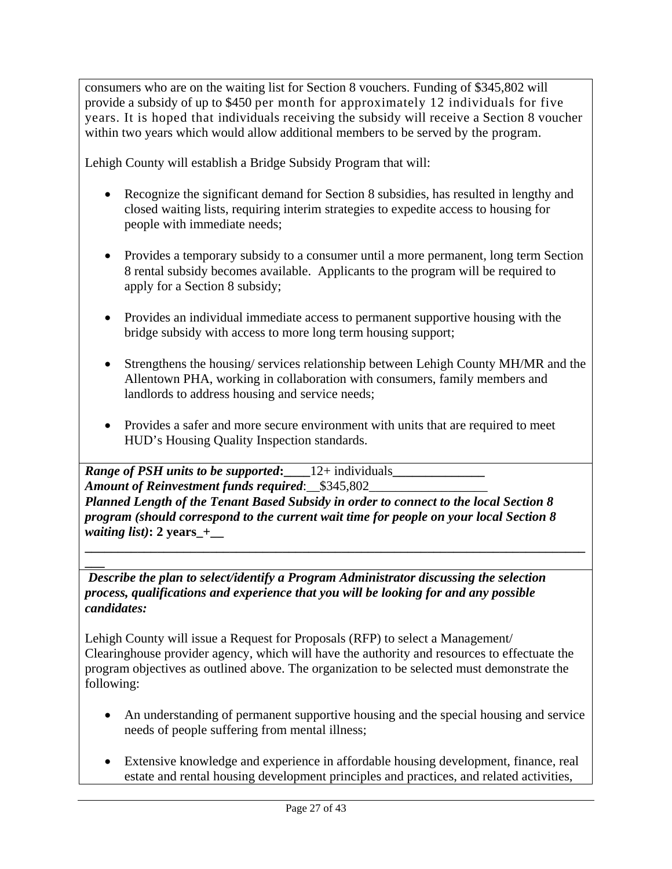consumers who are on the waiting list for Section 8 vouchers. Funding of \$345,802 will provide a subsidy of up to \$450 per month for approximately 12 individuals for five years. It is hoped that individuals receiving the subsidy will receive a Section 8 voucher within two years which would allow additional members to be served by the program.

Lehigh County will establish a Bridge Subsidy Program that will:

- Recognize the significant demand for Section 8 subsidies, has resulted in lengthy and closed waiting lists, requiring interim strategies to expedite access to housing for people with immediate needs;
- Provides a temporary subsidy to a consumer until a more permanent, long term Section 8 rental subsidy becomes available. Applicants to the program will be required to apply for a Section 8 subsidy;
- Provides an individual immediate access to permanent supportive housing with the bridge subsidy with access to more long term housing support;
- Strengthens the housing/ services relationship between Lehigh County MH/MR and the Allentown PHA, working in collaboration with consumers, family members and landlords to address housing and service needs;
- Provides a safer and more secure environment with units that are required to meet HUD's Housing Quality Inspection standards.

*Range of PSH units to be supported*:  $12+$  individuals *Amount of Reinvestment funds required*:\_\_\$345,802\_\_\_\_\_\_\_\_\_\_\_\_\_\_\_\_\_\_ *Planned Length of the Tenant Based Subsidy in order to connect to the local Section 8 program (should correspond to the current wait time for people on your local Section 8 waiting list)***: 2 years\_+\_\_** 

**\_\_\_\_\_\_\_\_\_\_\_\_\_\_\_\_\_\_\_\_\_\_\_\_\_\_\_\_\_\_\_\_\_\_\_\_\_\_\_\_\_\_\_\_\_\_\_\_\_\_\_\_\_\_\_\_\_\_\_\_\_\_\_\_\_\_\_\_\_\_\_\_\_\_\_\_**

**\_\_\_**  *Describe the plan to select/identify a Program Administrator discussing the selection process, qualifications and experience that you will be looking for and any possible candidates:* 

Lehigh County will issue a Request for Proposals (RFP) to select a Management/ Clearinghouse provider agency, which will have the authority and resources to effectuate the program objectives as outlined above. The organization to be selected must demonstrate the following:

- An understanding of permanent supportive housing and the special housing and service needs of people suffering from mental illness;
- Extensive knowledge and experience in affordable housing development, finance, real estate and rental housing development principles and practices, and related activities,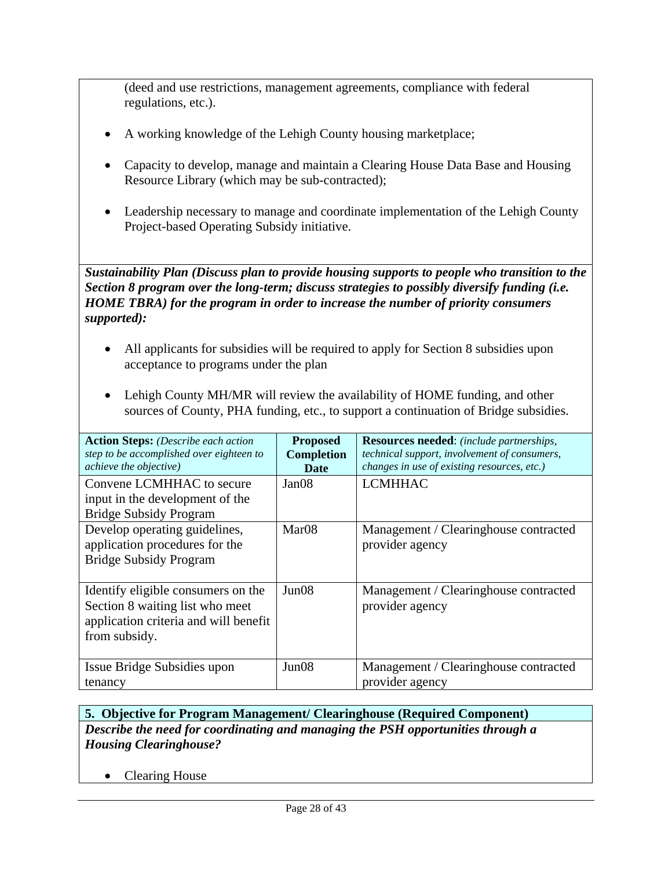(deed and use restrictions, management agreements, compliance with federal regulations, etc.).

- A working knowledge of the Lehigh County housing marketplace;
- Capacity to develop, manage and maintain a Clearing House Data Base and Housing Resource Library (which may be sub-contracted);
- Leadership necessary to manage and coordinate implementation of the Lehigh County Project-based Operating Subsidy initiative.

*Sustainability Plan (Discuss plan to provide housing supports to people who transition to the Section 8 program over the long-term; discuss strategies to possibly diversify funding (i.e. HOME TBRA) for the program in order to increase the number of priority consumers supported):* 

 All applicants for subsidies will be required to apply for Section 8 subsidies upon acceptance to programs under the plan

| <b>Action Steps:</b> (Describe each action<br>step to be accomplished over eighteen to | <b>Proposed</b><br><b>Completion</b> | <b>Resources needed:</b> (include partnerships,<br>technical support, involvement of consumers, |
|----------------------------------------------------------------------------------------|--------------------------------------|-------------------------------------------------------------------------------------------------|
| <i>achieve the objective</i> )                                                         | <b>Date</b>                          | changes in use of existing resources, etc.)                                                     |
| Convene LCMHHAC to secure                                                              | Jan08                                | <b>LCMHHAC</b>                                                                                  |
| input in the development of the                                                        |                                      |                                                                                                 |
| <b>Bridge Subsidy Program</b>                                                          |                                      |                                                                                                 |
| Develop operating guidelines,                                                          | Mar <sub>08</sub>                    | Management / Clearinghouse contracted                                                           |
| application procedures for the                                                         |                                      | provider agency                                                                                 |
| <b>Bridge Subsidy Program</b>                                                          |                                      |                                                                                                 |
|                                                                                        |                                      |                                                                                                 |
| Identify eligible consumers on the                                                     | Jun08                                | Management / Clearinghouse contracted                                                           |
| Section 8 waiting list who meet                                                        |                                      | provider agency                                                                                 |
| application criteria and will benefit                                                  |                                      |                                                                                                 |
| from subsidy.                                                                          |                                      |                                                                                                 |
|                                                                                        |                                      |                                                                                                 |
| Issue Bridge Subsidies upon                                                            | Jun08                                | Management / Clearinghouse contracted                                                           |
| tenancy                                                                                |                                      | provider agency                                                                                 |

 Lehigh County MH/MR will review the availability of HOME funding, and other sources of County, PHA funding, etc., to support a continuation of Bridge subsidies.

**5. Objective for Program Management/ Clearinghouse (Required Component)**  *Describe the need for coordinating and managing the PSH opportunities through a Housing Clearinghouse?* 

• Clearing House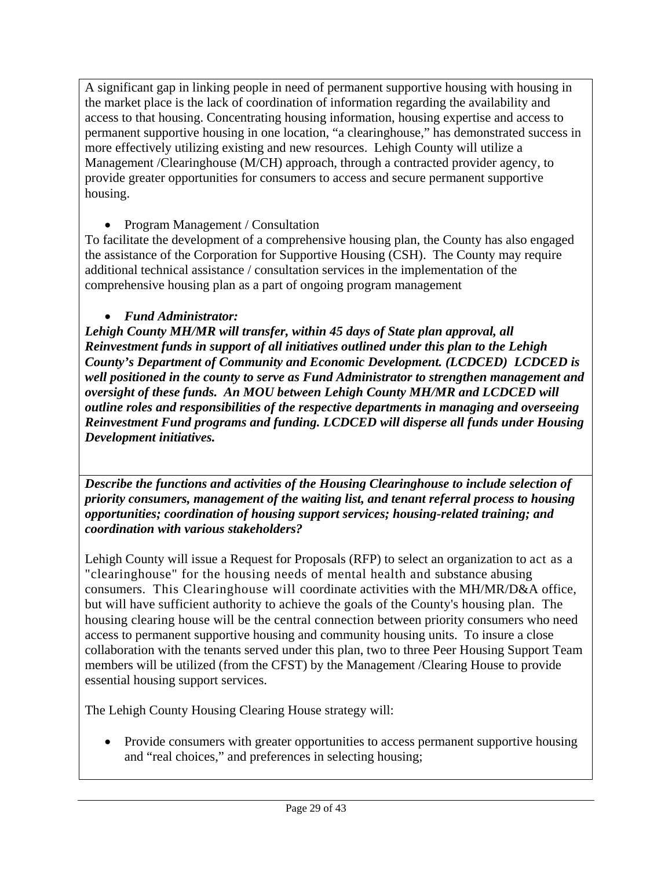A significant gap in linking people in need of permanent supportive housing with housing in the market place is the lack of coordination of information regarding the availability and access to that housing. Concentrating housing information, housing expertise and access to permanent supportive housing in one location, "a clearinghouse," has demonstrated success in more effectively utilizing existing and new resources. Lehigh County will utilize a Management /Clearinghouse (M/CH) approach, through a contracted provider agency, to provide greater opportunities for consumers to access and secure permanent supportive housing.

• Program Management / Consultation

To facilitate the development of a comprehensive housing plan, the County has also engaged the assistance of the Corporation for Supportive Housing (CSH). The County may require additional technical assistance / consultation services in the implementation of the comprehensive housing plan as a part of ongoing program management

# *Fund Administrator:*

*Lehigh County MH/MR will transfer, within 45 days of State plan approval, all Reinvestment funds in support of all initiatives outlined under this plan to the Lehigh County's Department of Community and Economic Development. (LCDCED) LCDCED is well positioned in the county to serve as Fund Administrator to strengthen management and oversight of these funds. An MOU between Lehigh County MH/MR and LCDCED will outline roles and responsibilities of the respective departments in managing and overseeing Reinvestment Fund programs and funding. LCDCED will disperse all funds under Housing Development initiatives.* 

*Describe the functions and activities of the Housing Clearinghouse to include selection of priority consumers, management of the waiting list, and tenant referral process to housing opportunities; coordination of housing support services; housing-related training; and coordination with various stakeholders?* 

Lehigh County will issue a Request for Proposals (RFP) to select an organization to act as a "clearinghouse" for the housing needs of mental health and substance abusing consumers. This Clearinghouse will coordinate activities with the MH/MR/D&A office, but will have sufficient authority to achieve the goals of the County's housing plan. The housing clearing house will be the central connection between priority consumers who need access to permanent supportive housing and community housing units. To insure a close collaboration with the tenants served under this plan, two to three Peer Housing Support Team members will be utilized (from the CFST) by the Management /Clearing House to provide essential housing support services.

The Lehigh County Housing Clearing House strategy will:

• Provide consumers with greater opportunities to access permanent supportive housing and "real choices," and preferences in selecting housing;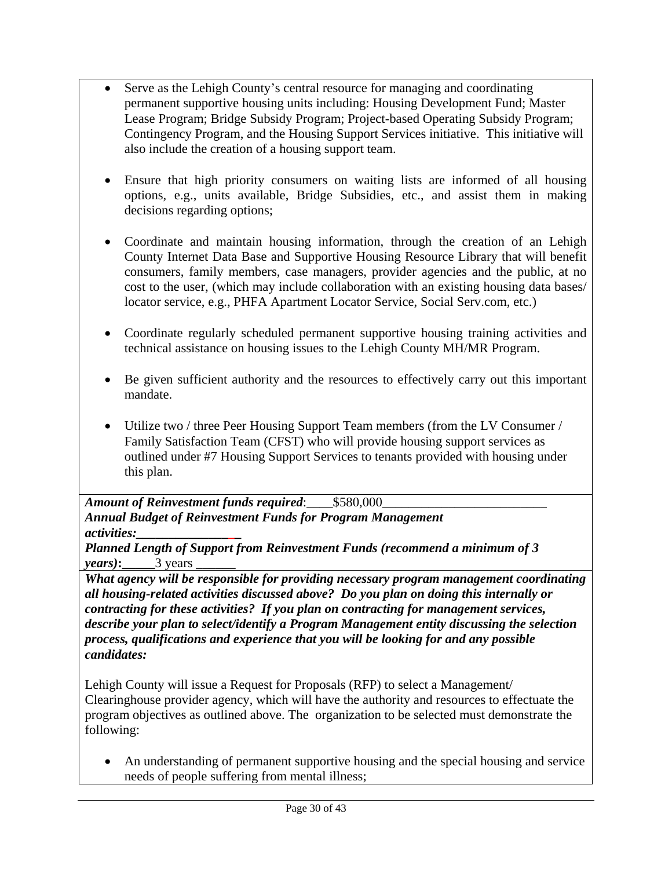- Serve as the Lehigh County's central resource for managing and coordinating permanent supportive housing units including: Housing Development Fund; Master Lease Program; Bridge Subsidy Program; Project-based Operating Subsidy Program; Contingency Program, and the Housing Support Services initiative. This initiative will also include the creation of a housing support team.
- Ensure that high priority consumers on waiting lists are informed of all housing options, e.g., units available, Bridge Subsidies, etc., and assist them in making decisions regarding options;
- Coordinate and maintain housing information, through the creation of an Lehigh County Internet Data Base and Supportive Housing Resource Library that will benefit consumers, family members, case managers, provider agencies and the public, at no cost to the user, (which may include collaboration with an existing housing data bases/ locator service, e.g., PHFA Apartment Locator Service, Social Serv.com, etc.)
- Coordinate regularly scheduled permanent supportive housing training activities and technical assistance on housing issues to the Lehigh County MH/MR Program.
- Be given sufficient authority and the resources to effectively carry out this important mandate.
- Utilize two / three Peer Housing Support Team members (from the LV Consumer / Family Satisfaction Team (CFST) who will provide housing support services as outlined under #7 Housing Support Services to tenants provided with housing under this plan.

*Amount of Reinvestment funds required:* \$580,000 *Annual Budget of Reinvestment Funds for Program Management activities:\_\_\_\_\_\_\_\_\_\_\_\_\_\_\_\_* 

*Planned Length of Support from Reinvestment Funds (recommend a minimum of 3 years*):  $\qquad$  3 years

*What agency will be responsible for providing necessary program management coordinating all housing-related activities discussed above? Do you plan on doing this internally or contracting for these activities? If you plan on contracting for management services, describe your plan to select/identify a Program Management entity discussing the selection process, qualifications and experience that you will be looking for and any possible candidates:* 

Lehigh County will issue a Request for Proposals (RFP) to select a Management/ Clearinghouse provider agency, which will have the authority and resources to effectuate the program objectives as outlined above. The organization to be selected must demonstrate the following:

 An understanding of permanent supportive housing and the special housing and service needs of people suffering from mental illness;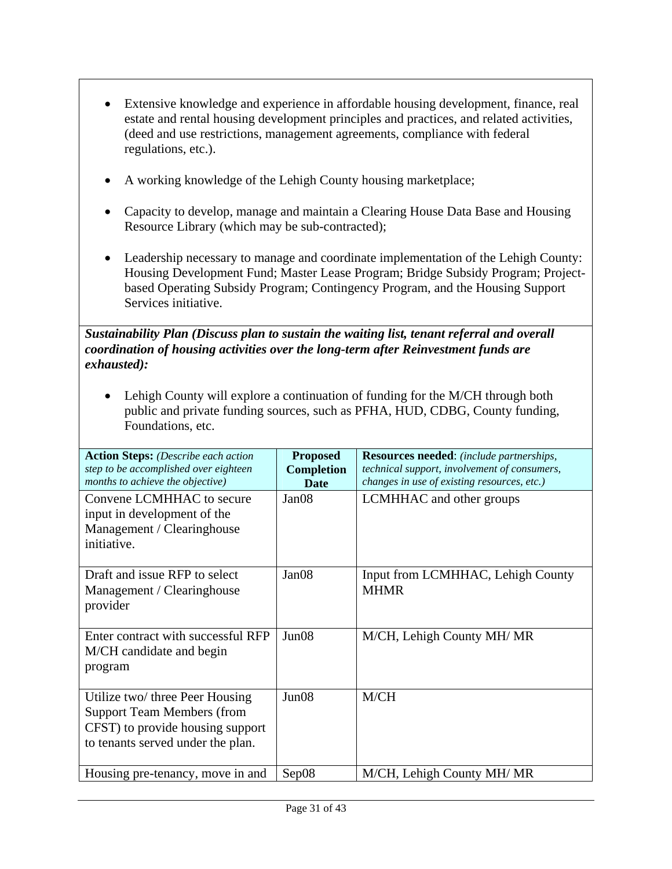- Extensive knowledge and experience in affordable housing development, finance, real estate and rental housing development principles and practices, and related activities, (deed and use restrictions, management agreements, compliance with federal regulations, etc.).
- A working knowledge of the Lehigh County housing marketplace;
- Capacity to develop, manage and maintain a Clearing House Data Base and Housing Resource Library (which may be sub-contracted);
- Leadership necessary to manage and coordinate implementation of the Lehigh County: Housing Development Fund; Master Lease Program; Bridge Subsidy Program; Projectbased Operating Subsidy Program; Contingency Program, and the Housing Support Services initiative.

#### *Sustainability Plan (Discuss plan to sustain the waiting list, tenant referral and overall coordination of housing activities over the long-term after Reinvestment funds are exhausted):*

• Lehigh County will explore a continuation of funding for the M/CH through both public and private funding sources, such as PFHA, HUD, CDBG, County funding, Foundations, etc.

| <b>Action Steps:</b> (Describe each action<br>step to be accomplished over eighteen<br>months to achieve the objective)                       | <b>Proposed</b><br><b>Completion</b><br><b>Date</b> | <b>Resources needed:</b> (include partnerships,<br>technical support, involvement of consumers,<br>changes in use of existing resources, etc.) |
|-----------------------------------------------------------------------------------------------------------------------------------------------|-----------------------------------------------------|------------------------------------------------------------------------------------------------------------------------------------------------|
| Convene LCMHHAC to secure<br>input in development of the<br>Management / Clearinghouse<br>initiative.                                         | Jan08                                               | LCMHHAC and other groups                                                                                                                       |
| Draft and issue RFP to select<br>Management / Clearinghouse<br>provider                                                                       | Jan08                                               | Input from LCMHHAC, Lehigh County<br><b>MHMR</b>                                                                                               |
| Enter contract with successful RFP<br>M/CH candidate and begin<br>program                                                                     | Jun <sub>08</sub>                                   | M/CH, Lehigh County MH/ MR                                                                                                                     |
| Utilize two/ three Peer Housing<br><b>Support Team Members (from</b><br>CFST) to provide housing support<br>to tenants served under the plan. | Jun <sub>08</sub>                                   | M/CH                                                                                                                                           |
| Housing pre-tenancy, move in and                                                                                                              | Sep08                                               | M/CH, Lehigh County MH/ MR                                                                                                                     |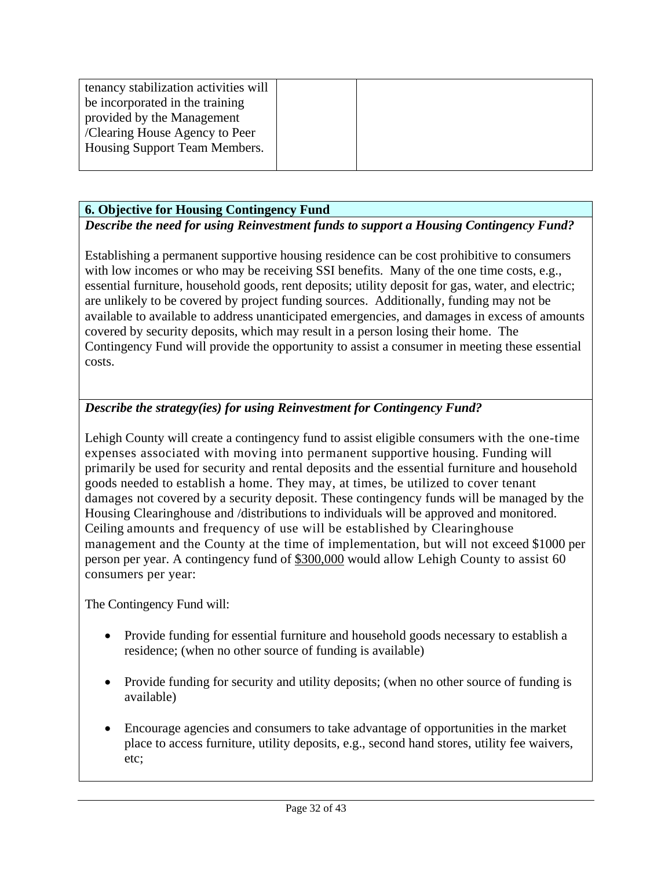| tenancy stabilization activities will<br>be incorporated in the training |  |  |
|--------------------------------------------------------------------------|--|--|
| provided by the Management<br>/Clearing House Agency to Peer             |  |  |
| Housing Support Team Members.                                            |  |  |

#### **6. Objective for Housing Contingency Fund**

#### *Describe the need for using Reinvestment funds to support a Housing Contingency Fund?*

Establishing a permanent supportive housing residence can be cost prohibitive to consumers with low incomes or who may be receiving SSI benefits. Many of the one time costs, e.g., essential furniture, household goods, rent deposits; utility deposit for gas, water, and electric; are unlikely to be covered by project funding sources. Additionally, funding may not be available to available to address unanticipated emergencies, and damages in excess of amounts covered by security deposits, which may result in a person losing their home. The Contingency Fund will provide the opportunity to assist a consumer in meeting these essential costs.

## *Describe the strategy(ies) for using Reinvestment for Contingency Fund?*

Lehigh County will create a contingency fund to assist eligible consumers with the one-time expenses associated with moving into permanent supportive housing. Funding will primarily be used for security and rental deposits and the essential furniture and household goods needed to establish a home. They may, at times, be utilized to cover tenant damages not covered by a security deposit. These contingency funds will be managed by the Housing Clearinghouse and /distributions to individuals will be approved and monitored. Ceiling amounts and frequency of use will be established by Clearinghouse management and the County at the time of implementation, but will not exceed \$1000 per person per year. A contingency fund of \$300,000 would allow Lehigh County to assist 60 consumers per year:

The Contingency Fund will:

- Provide funding for essential furniture and household goods necessary to establish a residence; (when no other source of funding is available)
- Provide funding for security and utility deposits; (when no other source of funding is available)
- Encourage agencies and consumers to take advantage of opportunities in the market place to access furniture, utility deposits, e.g., second hand stores, utility fee waivers, etc;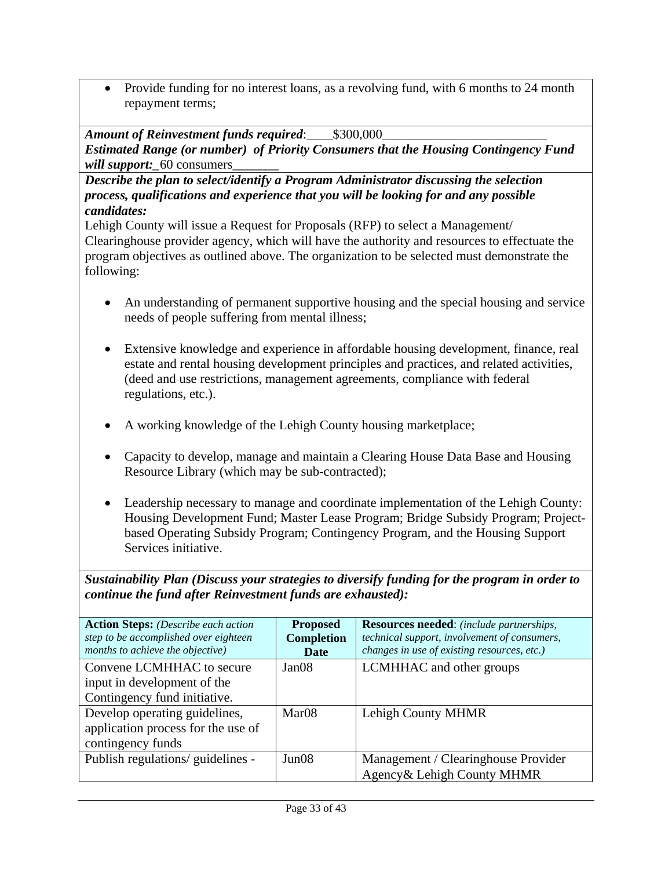• Provide funding for no interest loans, as a revolving fund, with 6 months to 24 month repayment terms;

*Amount of Reinvestment funds required:* \$300,000 *Estimated Range (or number) of Priority Consumers that the Housing Contingency Fund will support:* 60 consumers

*Describe the plan to select/identify a Program Administrator discussing the selection process, qualifications and experience that you will be looking for and any possible candidates:* 

Lehigh County will issue a Request for Proposals (RFP) to select a Management/ Clearinghouse provider agency, which will have the authority and resources to effectuate the program objectives as outlined above. The organization to be selected must demonstrate the following:

- An understanding of permanent supportive housing and the special housing and service needs of people suffering from mental illness;
- Extensive knowledge and experience in affordable housing development, finance, real estate and rental housing development principles and practices, and related activities, (deed and use restrictions, management agreements, compliance with federal regulations, etc.).
- A working knowledge of the Lehigh County housing marketplace;
- Capacity to develop, manage and maintain a Clearing House Data Base and Housing Resource Library (which may be sub-contracted);
- Leadership necessary to manage and coordinate implementation of the Lehigh County: Housing Development Fund; Master Lease Program; Bridge Subsidy Program; Projectbased Operating Subsidy Program; Contingency Program, and the Housing Support Services initiative.

*Sustainability Plan (Discuss your strategies to diversify funding for the program in order to continue the fund after Reinvestment funds are exhausted):* 

| <b>Action Steps:</b> (Describe each action<br>step to be accomplished over eighteen<br>months to achieve the objective) | <b>Proposed</b><br><b>Completion</b><br><b>Date</b> | <b>Resources needed:</b> (include partnerships,<br>technical support, involvement of consumers,<br>changes in use of existing resources, etc.) |
|-------------------------------------------------------------------------------------------------------------------------|-----------------------------------------------------|------------------------------------------------------------------------------------------------------------------------------------------------|
| Convene LCMHHAC to secure                                                                                               | Jan <sub>08</sub>                                   | LCMHHAC and other groups                                                                                                                       |
| input in development of the                                                                                             |                                                     |                                                                                                                                                |
| Contingency fund initiative.                                                                                            |                                                     |                                                                                                                                                |
| Develop operating guidelines,                                                                                           | Mar <sub>08</sub>                                   | Lehigh County MHMR                                                                                                                             |
| application process for the use of                                                                                      |                                                     |                                                                                                                                                |
| contingency funds                                                                                                       |                                                     |                                                                                                                                                |
| Publish regulations/ guidelines -                                                                                       | Jun08                                               | Management / Clearinghouse Provider                                                                                                            |
|                                                                                                                         |                                                     | Agency & Lehigh County MHMR                                                                                                                    |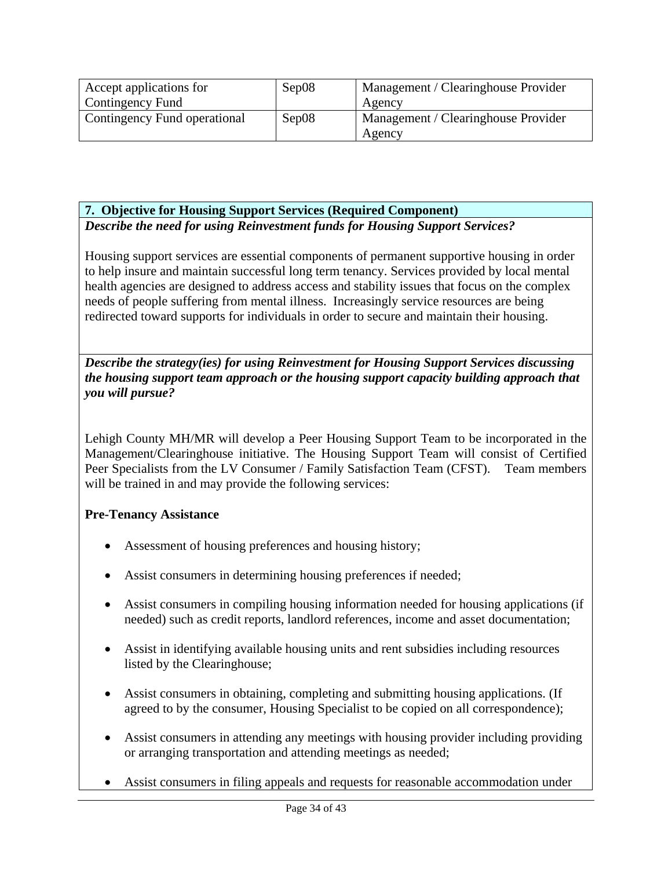| Accept applications for      | Sep08 | Management / Clearinghouse Provider |
|------------------------------|-------|-------------------------------------|
| Contingency Fund             |       | Agency                              |
| Contingency Fund operational | Sep08 | Management / Clearinghouse Provider |
|                              |       | Agency                              |

#### **7. Objective for Housing Support Services (Required Component)**  *Describe the need for using Reinvestment funds for Housing Support Services?*

Housing support services are essential components of permanent supportive housing in order to help insure and maintain successful long term tenancy. Services provided by local mental health agencies are designed to address access and stability issues that focus on the complex needs of people suffering from mental illness. Increasingly service resources are being redirected toward supports for individuals in order to secure and maintain their housing.

*Describe the strategy(ies) for using Reinvestment for Housing Support Services discussing the housing support team approach or the housing support capacity building approach that you will pursue?* 

Lehigh County MH/MR will develop a Peer Housing Support Team to be incorporated in the Management/Clearinghouse initiative. The Housing Support Team will consist of Certified Peer Specialists from the LV Consumer / Family Satisfaction Team (CFST). Team members will be trained in and may provide the following services:

## **Pre-Tenancy Assistance**

- Assessment of housing preferences and housing history;
- Assist consumers in determining housing preferences if needed;
- Assist consumers in compiling housing information needed for housing applications (if needed) such as credit reports, landlord references, income and asset documentation;
- Assist in identifying available housing units and rent subsidies including resources listed by the Clearinghouse;
- Assist consumers in obtaining, completing and submitting housing applications. (If agreed to by the consumer, Housing Specialist to be copied on all correspondence);
- Assist consumers in attending any meetings with housing provider including providing or arranging transportation and attending meetings as needed;
- Assist consumers in filing appeals and requests for reasonable accommodation under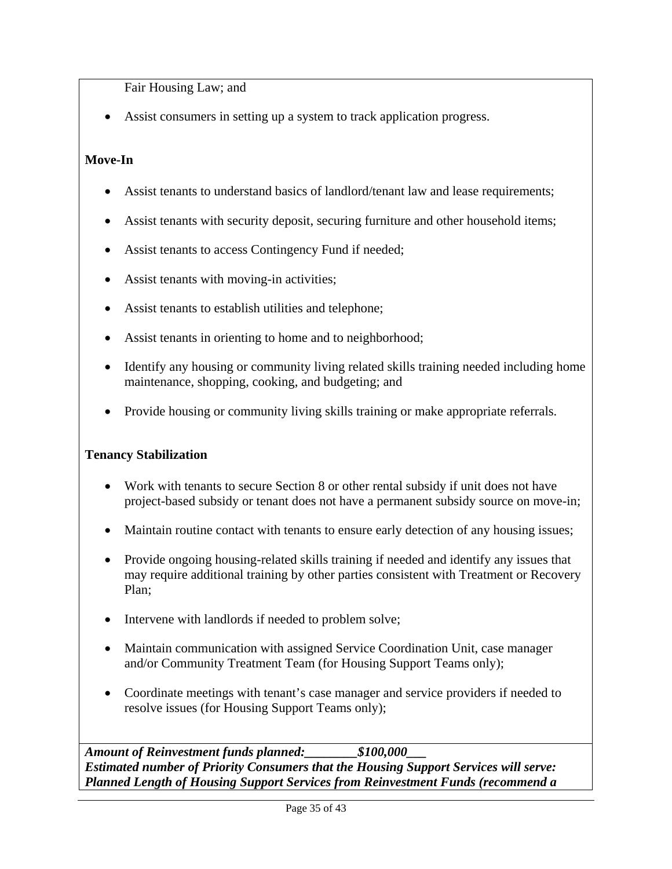Fair Housing Law; and

Assist consumers in setting up a system to track application progress.

#### **Move-In**

- Assist tenants to understand basics of landlord/tenant law and lease requirements;
- Assist tenants with security deposit, securing furniture and other household items;
- Assist tenants to access Contingency Fund if needed;
- Assist tenants with moving-in activities;
- Assist tenants to establish utilities and telephone;
- Assist tenants in orienting to home and to neighborhood;
- Identify any housing or community living related skills training needed including home maintenance, shopping, cooking, and budgeting; and
- Provide housing or community living skills training or make appropriate referrals.

## **Tenancy Stabilization**

- Work with tenants to secure Section 8 or other rental subsidy if unit does not have project-based subsidy or tenant does not have a permanent subsidy source on move-in;
- Maintain routine contact with tenants to ensure early detection of any housing issues;
- Provide ongoing housing-related skills training if needed and identify any issues that may require additional training by other parties consistent with Treatment or Recovery Plan;
- Intervene with landlords if needed to problem solve;
- Maintain communication with assigned Service Coordination Unit, case manager and/or Community Treatment Team (for Housing Support Teams only);
- Coordinate meetings with tenant's case manager and service providers if needed to resolve issues (for Housing Support Teams only);

*Amount of Reinvestment funds planned:\_\_\_\_\_\_\_\_\$100,000\_\_\_ Estimated number of Priority Consumers that the Housing Support Services will serve: Planned Length of Housing Support Services from Reinvestment Funds (recommend a*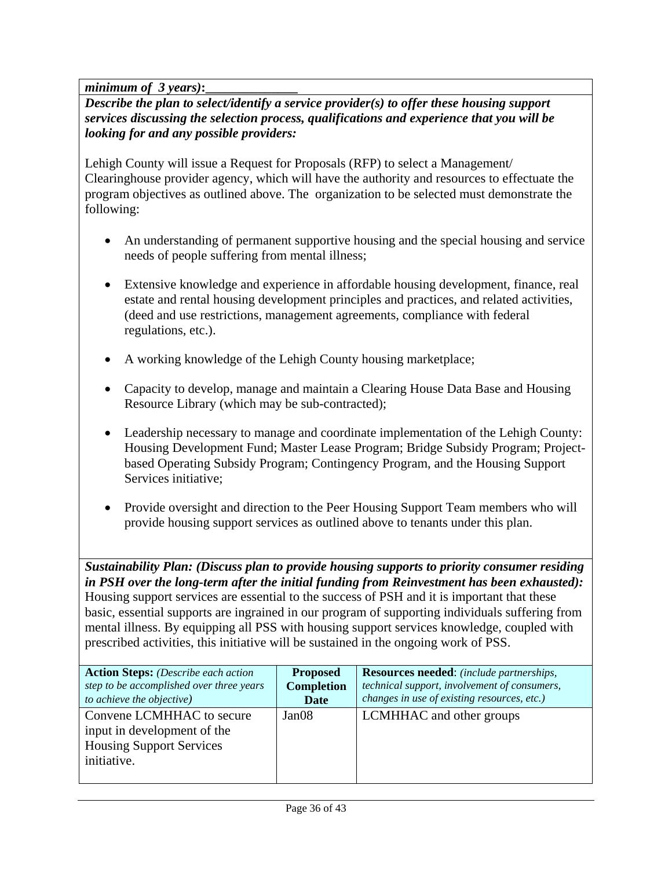*minimum of 3 years*):

*Describe the plan to select/identify a service provider(s) to offer these housing support services discussing the selection process, qualifications and experience that you will be looking for and any possible providers:* 

Lehigh County will issue a Request for Proposals (RFP) to select a Management/ Clearinghouse provider agency, which will have the authority and resources to effectuate the program objectives as outlined above. The organization to be selected must demonstrate the following:

- An understanding of permanent supportive housing and the special housing and service needs of people suffering from mental illness;
- Extensive knowledge and experience in affordable housing development, finance, real estate and rental housing development principles and practices, and related activities, (deed and use restrictions, management agreements, compliance with federal regulations, etc.).
- A working knowledge of the Lehigh County housing marketplace;
- Capacity to develop, manage and maintain a Clearing House Data Base and Housing Resource Library (which may be sub-contracted);
- Leadership necessary to manage and coordinate implementation of the Lehigh County: Housing Development Fund; Master Lease Program; Bridge Subsidy Program; Projectbased Operating Subsidy Program; Contingency Program, and the Housing Support Services initiative;
- Provide oversight and direction to the Peer Housing Support Team members who will provide housing support services as outlined above to tenants under this plan.

*Sustainability Plan: (Discuss plan to provide housing supports to priority consumer residing in PSH over the long-term after the initial funding from Reinvestment has been exhausted):*  Housing support services are essential to the success of PSH and it is important that these basic, essential supports are ingrained in our program of supporting individuals suffering from mental illness. By equipping all PSS with housing support services knowledge, coupled with prescribed activities, this initiative will be sustained in the ongoing work of PSS.

| <b>Action Steps:</b> (Describe each action | <b>Proposed</b>   | <b>Resources needed:</b> (include partnerships, |
|--------------------------------------------|-------------------|-------------------------------------------------|
| step to be accomplished over three years   | <b>Completion</b> | technical support, involvement of consumers,    |
| to achieve the objective)                  | <b>Date</b>       | changes in use of existing resources, etc.)     |
| Convene LCMHHAC to secure                  | Jan08             | LCMHHAC and other groups                        |
| input in development of the                |                   |                                                 |
| <b>Housing Support Services</b>            |                   |                                                 |
| initiative.                                |                   |                                                 |
|                                            |                   |                                                 |
|                                            |                   |                                                 |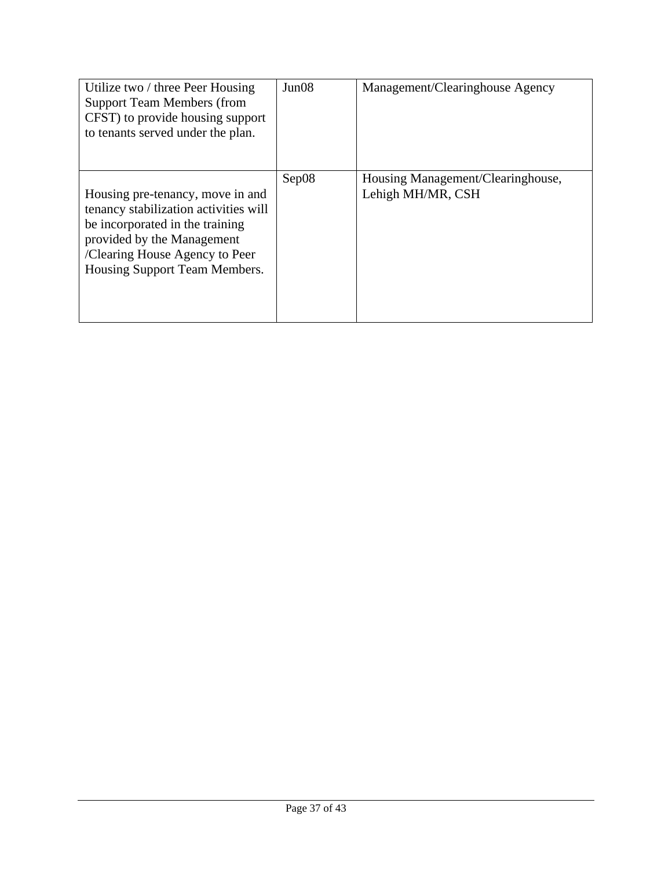| Utilize two / three Peer Housing<br><b>Support Team Members (from</b><br>CFST) to provide housing support<br>to tenants served under the plan.                                                                | Jun <sub>08</sub> | Management/Clearinghouse Agency                        |
|---------------------------------------------------------------------------------------------------------------------------------------------------------------------------------------------------------------|-------------------|--------------------------------------------------------|
| Housing pre-tenancy, move in and<br>tenancy stabilization activities will<br>be incorporated in the training<br>provided by the Management<br>/Clearing House Agency to Peer<br>Housing Support Team Members. | Sep08             | Housing Management/Clearinghouse,<br>Lehigh MH/MR, CSH |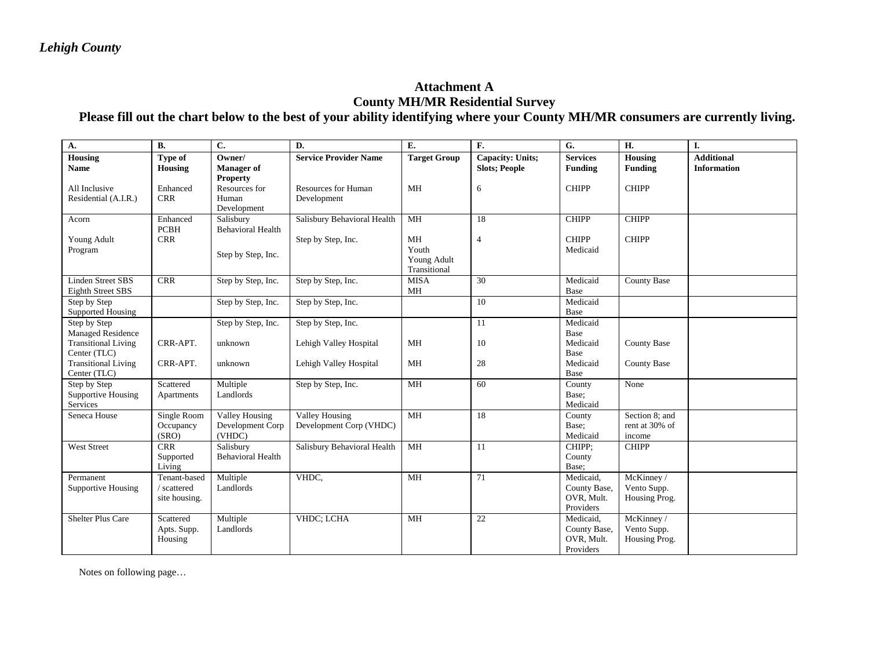#### **Attachment A County MH/MR Residential Survey**

## **Please fill out the chart below to the best of your ability identifying where your County MH/MR consumers are currently living.**

| <b>A.</b>                                              | <b>B.</b>                   | C.                                   | D.                           | E.                   | F.                      | G.                         | H.                           | I.                 |
|--------------------------------------------------------|-----------------------------|--------------------------------------|------------------------------|----------------------|-------------------------|----------------------------|------------------------------|--------------------|
| Housing                                                | Type of                     | Owner/                               | <b>Service Provider Name</b> | <b>Target Group</b>  | <b>Capacity: Units;</b> | <b>Services</b>            | Housing                      | <b>Additional</b>  |
| <b>Name</b>                                            | Housing                     | <b>Manager</b> of<br><b>Property</b> |                              |                      | <b>Slots</b> ; People   | <b>Funding</b>             | <b>Funding</b>               | <b>Information</b> |
| All Inclusive                                          | Enhanced                    | Resources for                        | <b>Resources for Human</b>   | MH                   | 6                       | <b>CHIPP</b>               | <b>CHIPP</b>                 |                    |
| Residential (A.I.R.)                                   | <b>CRR</b>                  | Human                                | Development                  |                      |                         |                            |                              |                    |
| Acorn                                                  | Enhanced                    | Development<br>Salisbury             | Salisbury Behavioral Health  | MH                   | 18                      | <b>CHIPP</b>               | <b>CHIPP</b>                 |                    |
|                                                        | <b>PCBH</b>                 | <b>Behavioral Health</b>             |                              |                      |                         |                            |                              |                    |
| Young Adult                                            | <b>CRR</b>                  |                                      | Step by Step, Inc.           | MH                   | $\overline{4}$          | <b>CHIPP</b>               | <b>CHIPP</b>                 |                    |
| Program                                                |                             | Step by Step, Inc.                   |                              | Youth<br>Young Adult |                         | Medicaid                   |                              |                    |
|                                                        |                             |                                      |                              | Transitional         |                         |                            |                              |                    |
| <b>Linden Street SBS</b>                               | <b>CRR</b>                  | Step by Step, Inc.                   | Step by Step, Inc.           | <b>MISA</b>          | 30                      | Medicaid                   | <b>County Base</b>           |                    |
| Eighth Street SBS<br>Step by Step                      |                             | Step by Step, Inc.                   | Step by Step, Inc.           | MH                   | 10                      | Base<br>Medicaid           |                              |                    |
| <b>Supported Housing</b>                               |                             |                                      |                              |                      |                         | Base                       |                              |                    |
| Step by Step                                           |                             | Step by Step, Inc.                   | Step by Step, Inc.           |                      | 11                      | Medicaid                   |                              |                    |
| <b>Managed Residence</b><br><b>Transitional Living</b> | CRR-APT.                    |                                      |                              | MH                   | 10                      | Base<br>Medicaid           | <b>County Base</b>           |                    |
| Center (TLC)                                           |                             | unknown                              | Lehigh Valley Hospital       |                      |                         | Base                       |                              |                    |
| <b>Transitional Living</b>                             | CRR-APT.                    | unknown                              | Lehigh Valley Hospital       | MH                   | 28                      | Medicaid                   | <b>County Base</b>           |                    |
| Center (TLC)                                           |                             |                                      |                              |                      |                         | Base                       |                              |                    |
| Step by Step<br><b>Supportive Housing</b>              | Scattered<br>Apartments     | Multiple<br>Landlords                | Step by Step, Inc.           | MH                   | 60                      | County<br>Base;            | None                         |                    |
| Services                                               |                             |                                      |                              |                      |                         | Medicaid                   |                              |                    |
| Seneca House                                           | Single Room                 | Valley Housing                       | <b>Valley Housing</b>        | MH                   | 18                      | County                     | Section 8; and               |                    |
|                                                        | Occupancy                   | Development Corp                     | Development Corp (VHDC)      |                      |                         | Base:                      | rent at 30% of               |                    |
| <b>West Street</b>                                     | (SRO)<br><b>CRR</b>         | (VHDC)<br>Salisbury                  | Salisbury Behavioral Health  | MH                   | 11                      | Medicaid<br>CHIPP:         | income<br><b>CHIPP</b>       |                    |
|                                                        | Supported                   | <b>Behavioral Health</b>             |                              |                      |                         | County                     |                              |                    |
|                                                        | Living                      |                                      |                              |                      |                         | Base:                      |                              |                    |
| Permanent                                              | Tenant-based                | Multiple                             | VHDC.                        | MH                   | 71                      | Medicaid,                  | McKinney /                   |                    |
| Supportive Housing                                     | /scattered<br>site housing. | Landlords                            |                              |                      |                         | County Base,<br>OVR, Mult. | Vento Supp.<br>Housing Prog. |                    |
|                                                        |                             |                                      |                              |                      |                         | Providers                  |                              |                    |
| Shelter Plus Care                                      | Scattered                   | Multiple                             | VHDC; LCHA                   | MH                   | 22                      | Medicaid,                  | McKinney /                   |                    |
|                                                        | Apts. Supp.                 | Landlords                            |                              |                      |                         | County Base,               | Vento Supp.                  |                    |
|                                                        | Housing                     |                                      |                              |                      |                         | OVR, Mult.<br>Providers    | Housing Prog.                |                    |

Notes on following page…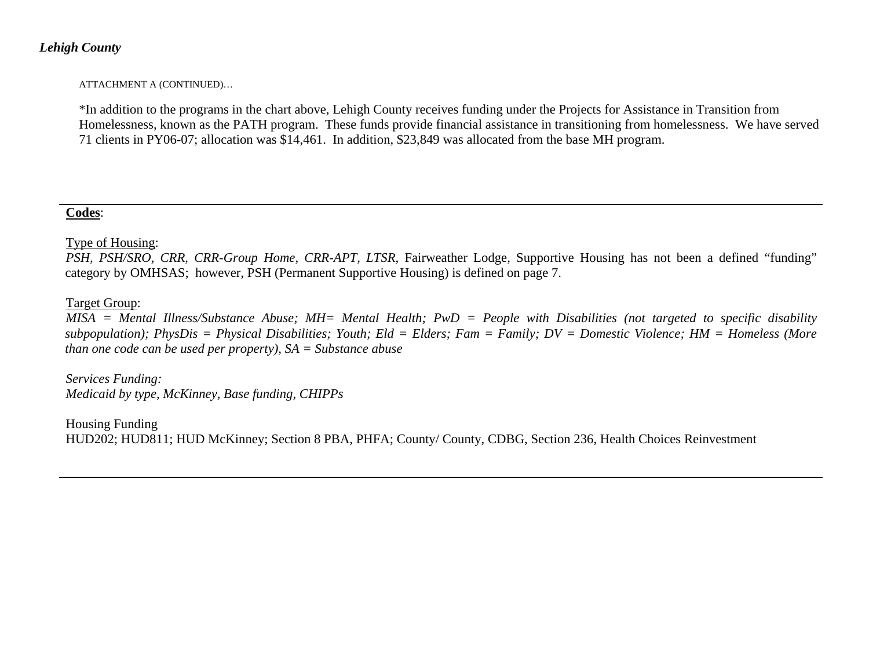ATTACHMENT A (CONTINUED)…

\*In addition to the programs in the chart above, Lehigh County receives funding under the Projects for Assistance in Transition from Homelessness, known as the PATH program. These funds provide financial assistance in transitioning from homelessness. We have served 71 clients in PY06-07; allocation was \$14,461. In addition, \$23,849 was allocated from the base MH program.

**Codes**:

Type of Housing:

*PSH, PSH/SRO, CRR, CRR-Group Home, CRR-APT, LTSR*, Fairweather Lodge, Supportive Housing has not been a defined "funding" category by OMHSAS; however, PSH (Permanent Supportive Housing) is defined on page 7.

Target Group:

*MISA = Mental Illness/Substance Abuse; MH= Mental Health; PwD = People with Disabilities (not targeted to specific disability subpopulation); PhysDis = Physical Disabilities; Youth; Eld = Elders; Fam = Family; DV = Domestic Violence; HM = Homeless (More than one code can be used per property), SA = Substance abuse* 

*Services Funding: Medicaid by type, McKinney, Base funding, CHIPPs*

Housing Funding HUD202; HUD811; HUD McKinney; Section 8 PBA, PHFA; County/ County, CDBG, Section 236, Health Choices Reinvestment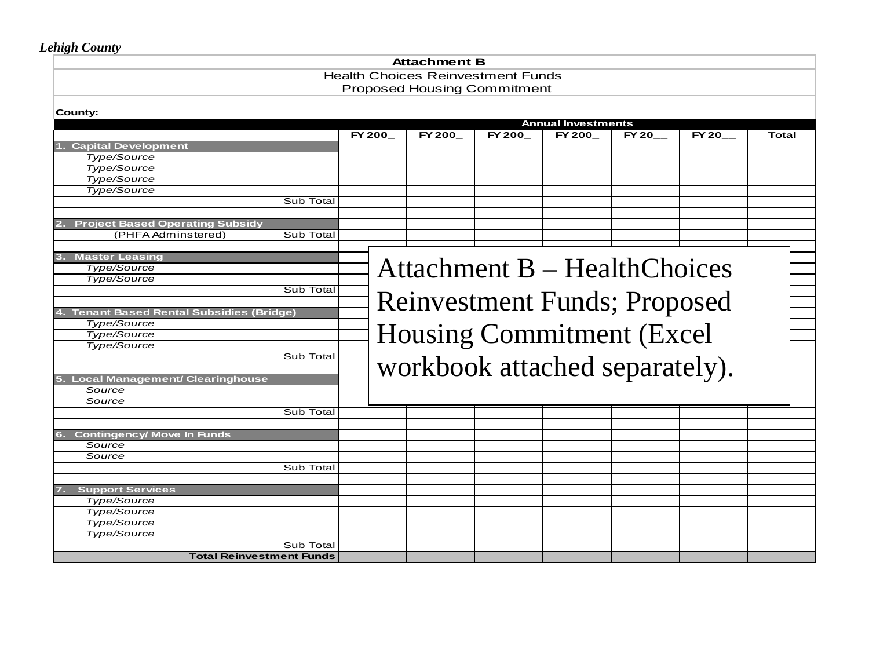| <b>Attachment B</b>                           |               |                                     |                                     |                           |              |              |              |  |  |
|-----------------------------------------------|---------------|-------------------------------------|-------------------------------------|---------------------------|--------------|--------------|--------------|--|--|
| <b>Health Choices Reinvestment Funds</b>      |               |                                     |                                     |                           |              |              |              |  |  |
|                                               |               |                                     | <b>Proposed Housing Commitment</b>  |                           |              |              |              |  |  |
|                                               |               |                                     |                                     |                           |              |              |              |  |  |
| County:                                       |               |                                     |                                     |                           |              |              |              |  |  |
|                                               |               |                                     |                                     | <b>Annual Investments</b> |              |              |              |  |  |
|                                               | <b>FY 200</b> | <b>FY 200</b>                       | <b>FY 200</b>                       | <b>FY 200</b>             | <b>FY 20</b> | <b>FY 20</b> | <b>Total</b> |  |  |
| <b>Capital Development</b>                    |               |                                     |                                     |                           |              |              |              |  |  |
| Type/Source                                   |               |                                     |                                     |                           |              |              |              |  |  |
| Type/Source                                   |               |                                     |                                     |                           |              |              |              |  |  |
| Type/Source                                   |               |                                     |                                     |                           |              |              |              |  |  |
| Type/Source                                   |               |                                     |                                     |                           |              |              |              |  |  |
| Sub Total                                     |               |                                     |                                     |                           |              |              |              |  |  |
|                                               |               |                                     |                                     |                           |              |              |              |  |  |
| <b>Project Based Operating Subsidy</b>        |               |                                     |                                     |                           |              |              |              |  |  |
| (PHFA Adminstered)<br>Sub Total               |               |                                     |                                     |                           |              |              |              |  |  |
| <b>Master Leasing</b>                         |               |                                     |                                     |                           |              |              |              |  |  |
| Type/Source                                   |               | <b>Attachment B – HealthChoices</b> |                                     |                           |              |              |              |  |  |
| Type/Source                                   |               |                                     |                                     |                           |              |              |              |  |  |
| Sub Total                                     |               |                                     |                                     |                           |              |              |              |  |  |
|                                               |               |                                     | <b>Reinvestment Funds; Proposed</b> |                           |              |              |              |  |  |
| <b>Tenant Based Rental Subsidies (Bridge)</b> |               |                                     |                                     |                           |              |              |              |  |  |
| Type/Source                                   |               |                                     |                                     |                           |              |              |              |  |  |
| Type/Source                                   |               | <b>Housing Commitment (Excel)</b>   |                                     |                           |              |              |              |  |  |
| Type/Source                                   |               |                                     |                                     |                           |              |              |              |  |  |
| Sub Total                                     |               |                                     |                                     |                           |              |              |              |  |  |
|                                               |               |                                     | workbook attached separately).      |                           |              |              |              |  |  |
| <b>Local Management/ Clearinghouse</b>        |               |                                     |                                     |                           |              |              |              |  |  |
| Source                                        |               |                                     |                                     |                           |              |              |              |  |  |
| Source                                        |               |                                     |                                     |                           |              |              |              |  |  |
| Sub Total                                     |               |                                     |                                     |                           |              |              |              |  |  |
|                                               |               |                                     |                                     |                           |              |              |              |  |  |
| <b>Contingency/ Move In Funds</b>             |               |                                     |                                     |                           |              |              |              |  |  |
| Source                                        |               |                                     |                                     |                           |              |              |              |  |  |
| Source                                        |               |                                     |                                     |                           |              |              |              |  |  |
| Sub Total                                     |               |                                     |                                     |                           |              |              |              |  |  |
|                                               |               |                                     |                                     |                           |              |              |              |  |  |
| <b>Support Services</b>                       |               |                                     |                                     |                           |              |              |              |  |  |
| Type/Source                                   |               |                                     |                                     |                           |              |              |              |  |  |
| Type/Source                                   |               |                                     |                                     |                           |              |              |              |  |  |
| Type/Source<br>Type/Source                    |               |                                     |                                     |                           |              |              |              |  |  |
| Sub Total                                     |               |                                     |                                     |                           |              |              |              |  |  |
| <b>Total Reinvestment Funds</b>               |               |                                     |                                     |                           |              |              |              |  |  |
|                                               |               |                                     |                                     |                           |              |              |              |  |  |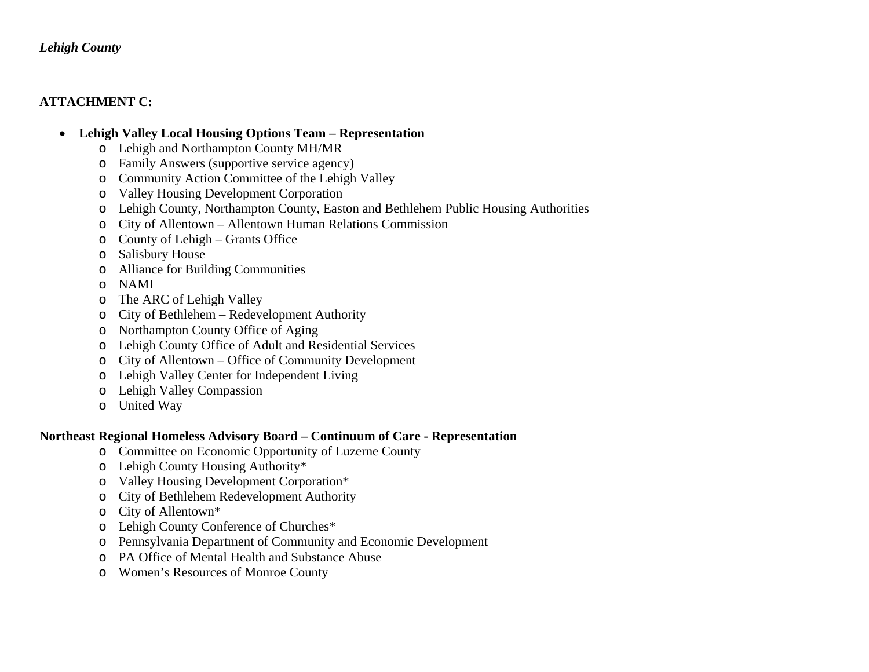#### **ATTACHMENT C:**

#### $\bullet$ **Lehigh Valley Local Housing Options Team – Representation**

- o Lehigh and Northampton County MH/MR
- oFamily Answers (supportive service agency)
- oCommunity Action Committee of the Lehigh Valley
- oValley Housing Development Corporation
- oLehigh County, Northampton County, Easton and Bethlehem Public Housing Authorities
- oCity of Allentown – Allentown Human Relations Commission
- oCounty of Lehigh – Grants Office
- oSalisbury House
- oAlliance for Building Communities
- oNAMI
- oThe ARC of Lehigh Valley
- oCity of Bethlehem – Redevelopment Authority
- oNorthampton County Office of Aging
- oLehigh County Office of Adult and Residential Services
- oCity of Allentown – Office of Community Development
- oLehigh Valley Center for Independent Living
- oLehigh Valley Compassion
- oUnited Way

#### **Northeast Regional Homeless Advisory Board – Continuum of Care - Representation**

- o Committee on Economic Opportunity of Luzerne County
- oLehigh County Housing Authority\*
- oValley Housing Development Corporation\*
- oCity of Bethlehem Redevelopment Authority
- oCity of Allentown\*
- oLehigh County Conference of Churches\*
- oPennsylvania Department of Community and Economic Development
- oPA Office of Mental Health and Substance Abuse
- oWomen's Resources of Monroe County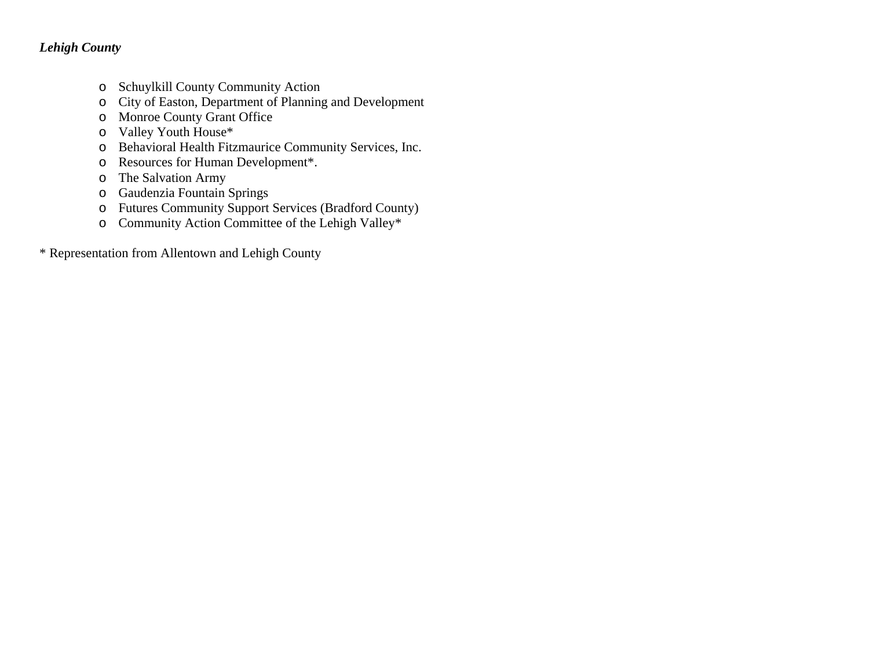- o Schuylkill County Community Action
- oCity of Easton, Department of Planning and Development
- oMonroe County Grant Office
- oValley Youth House\*
- oBehavioral Health Fitzmaurice Community Services, Inc.
- oResources for Human Development\*.
- oThe Salvation Army
- oGaudenzia Fountain Springs
- oFutures Community Support Services (Bradford County)
- oCommunity Action Committee of the Lehigh Valley\*

\* Representation from Allentown and Lehigh County